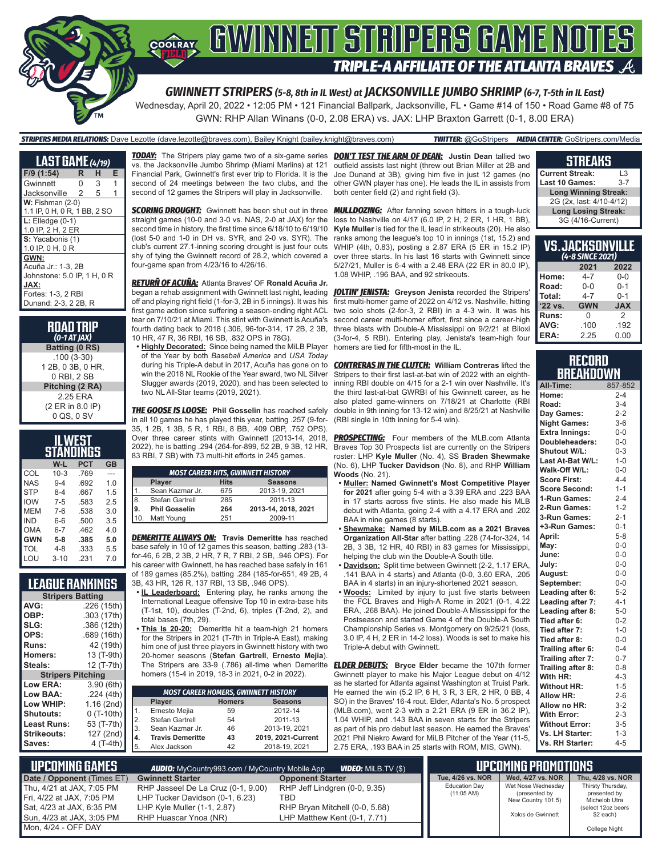

Wednesday, April 20, 2022 • 12:05 PM • 121 Financial Ballpark, Jacksonville, FL • Game #14 of 150 • Road Game #8 of 75 GWN: RHP Allan Winans (0-0, 2.08 ERA) vs. JAX: LHP Braxton Garrett (0-1, 8.00 ERA)

### *STRIPERS MEDIA RELATIONS:* Dave Lezotte (dave.lezotte@braves.com), Bailey Knight (bailey.knight@braves.com) *TWITTER:* @GoStripers *MEDIA CENTER:* GoStripers.com/Media

| <b>LAST GAME</b> (4/19)      |    |   |   |
|------------------------------|----|---|---|
| F/9 (1:54)                   | R. | н | Е |
| Gwinnett                     | 0  | 3 | 1 |
| Jacksonville                 | 2  | 5 |   |
| $W:$ Fishman (2-0)           |    |   |   |
| 1.1 IP, 0 H, 0 R, 1 BB, 2 SO |    |   |   |
| $L:$ Elledge $(0-1)$         |    |   |   |
| 1.0 IP, 2 H, 2 ER            |    |   |   |
| S: Yacabonis (1)             |    |   |   |
| 1.0 IP, 0 H, 0 R             |    |   |   |
| GWN:                         |    |   |   |
| Acuña Jr.: 1-3, 2B           |    |   |   |
| Johnstone: 5.0 IP, 1 H, 0 R  |    |   |   |
| JAX:                         |    |   |   |
| Fortes: 1-3, 2 RBI           |    |   |   |
| Dunand: 2-3, 2 2B, R         |    |   |   |

**ROAD TRIP** *(0-1 AT JAX)* **Batting (0 RS)** .100 (3-30) 1 2B, 0 3B, 0 HR, 0 RBI, 2 SB **Pitching (2 RA)** 2.25 ERA (2 ER in 8.0 IP) 0 QS, 0 SV

| IL WEST<br>STANDINGS |          |      |           |  |  |  |
|----------------------|----------|------|-----------|--|--|--|
|                      | W-L      | PCT  | <b>GB</b> |  |  |  |
| COL                  | $10 - 3$ | .769 |           |  |  |  |
| <b>NAS</b>           | $9 - 4$  | .692 | 1.0       |  |  |  |
| <b>STP</b>           | $8 - 4$  | .667 | 1.5       |  |  |  |
| <b>IOW</b>           | $7 - 5$  | .583 | 2.5       |  |  |  |
| MEM                  | $7 - 6$  | .538 | 3.0       |  |  |  |
| IND                  | $6-6$    | .500 | 3.5       |  |  |  |
| <b>OMA</b>           | $6 - 7$  | .462 | 4.0       |  |  |  |
| <b>GWN</b>           | $5-8$    | .385 | 5.0       |  |  |  |
| TOL                  | $4 - 8$  | .333 | 5.5       |  |  |  |
| LOU                  | $3 - 10$ | .231 | 7.0       |  |  |  |

### **LEAGUE RANKINGS**

| <b>Stripers Batting</b>  |             |  |  |  |  |
|--------------------------|-------------|--|--|--|--|
| AVG:                     | .226 (15th) |  |  |  |  |
| OBP:                     | .303 (17th) |  |  |  |  |
| SLG:                     | .386 (12th) |  |  |  |  |
| OPS:                     | .689 (16th) |  |  |  |  |
| Runs:                    | 42 (19th)   |  |  |  |  |
| Homers:                  | 13 (T-9th)  |  |  |  |  |
| Steals:                  | 12 (T-7th)  |  |  |  |  |
| <b>Stripers Pitching</b> |             |  |  |  |  |
|                          |             |  |  |  |  |
| <b>Low ERA:</b>          | 3.90(6th)   |  |  |  |  |
| Low BAA:                 | .224(4th)   |  |  |  |  |
| Low WHIP:                | 1.16(2nd)   |  |  |  |  |
| Shutouts:                | $0(T-10th)$ |  |  |  |  |
| <b>Least Runs:</b>       | 53 (T-7th)  |  |  |  |  |
| <b>Strikeouts:</b>       | 127 (2nd)   |  |  |  |  |

*TODAY:* The Stripers play game two of a six-game series *DON'T TEST THE ARM OF DEAN:* **Justin Dean** tallied two vs. the Jacksonville Jumbo Shrimp (Miami Marlins) at 121 Financial Park, Gwinnett's first ever trip to Florida. It is the second of 24 meetings between the two clubs, and the second of 12 games the Stripers will play in Jacksonville.

**SCORING DROUGHT:** Gwinnett has been shut out in three straight games (10-0 and 3-0 vs. NAS, 2-0 at JAX) for the second time in history, the first time since 6/18/10 to 6/19/10 (lost 5-0 and 1-0 in DH vs. SYR, and 2-0 vs. SYR). The club's current 27.1-inning scoring drought is just four outs shy of tying the Gwinnett record of 28.2, which covered a four-game span from 4/23/16 to 4/26/16.

*RETURÑ OF ACUÑA:* Atlanta Braves' OF **Ronald Acuña Jr.** began a rehab assignment with Gwinnett last night, leading *JOLTIN' JENISTA:* **Greyson Jenista** recorded the Stripers' off and playing right field (1-for-3, 2B in 5 innings). It was his first game action since suffering a season-ending right ACL tear on 7/10/21 at Miami. This stint with Gwinnett is Acuña's fourth dating back to 2018 (.306, 96-for-314, 17 2B, 2 3B, 10 HR, 47 R, 36 RBI, 16 SB, .832 OPS in 78G).

**• Highly Decorated:** Since being named the MiLB Player of the Year by both *Baseball America* and *USA Today* during his Triple-A debut in 2017, Acuña has gone on to win the 2018 NL Rookie of the Year award, two NL Silver Slugger awards (2019, 2020), and has been selected to two NL All-Star teams (2019, 2021).

*THE GOOSE IS LOOSE:* **Phil Gosselin** has reached safely in all 10 games he has played this year, batting .257 (9-for-35, 1 2B, 1 3B, 5 R, 1 RBI, 8 BB, .409 OBP, .752 OPS). Over three career stints with Gwinnett (2013-14, 2018, 2022), he is batting .294 (264-for-899, 52 2B, 9 3B, 12 HR, 83 RBI, 7 SB) with 73 multi-hit efforts in 245 games.

| <b>MOST CAREER HITS, GWINNETT HISTORY</b> |                                         |     |                     |  |  |  |  |
|-------------------------------------------|-----------------------------------------|-----|---------------------|--|--|--|--|
|                                           | <b>Hits</b><br><b>Seasons</b><br>Player |     |                     |  |  |  |  |
|                                           | Sean Kazmar Jr.                         | 675 | 2013-19, 2021       |  |  |  |  |
| 8.                                        | Stefan Gartrell                         | 285 | 2011-13             |  |  |  |  |
| l9.                                       | <b>Phil Gosselin</b>                    | 264 | 2013-14, 2018, 2021 |  |  |  |  |
| 10                                        | Matt Young                              | 251 | 2009-11             |  |  |  |  |
|                                           |                                         |     |                     |  |  |  |  |

*DEMERITTE ALWAYS ON:* **Travis Demeritte** has reached base safely in 10 of 12 games this season, batting .283 (13 for-46, 6 2B, 2 3B, 2 HR, 7 R, 7 RBI, 2 SB, .946 OPS). For his career with Gwinnett, he has reached base safely in 161 of 189 games (85.2%), batting .284 (185-for-651, 49 2B, 4

3B, 43 HR, 126 R, 137 RBI, 13 SB, .946 OPS). **• IL Leaderboard:** Entering play, he ranks among the

- International League offensive Top 10 in extra-base hits (T-1st, 10), doubles (T-2nd, 6), triples (T-2nd, 2), and total bases (7th, 29).
- **• This Is 20-20:** Demeritte hit a team-high 21 homers for the Stripers in 2021 (T-7th in Triple-A East), making him one of just three players in Gwinnett history with two 20-homer seasons (**Stefan Gartrell**, **Ernesto Mejia**). The Stripers are 33-9 (.786) all-time when Demeritte homers (15-4 in 2019, 18-3 in 2021, 0-2 in 2022).

|                                                       | <b>MOST CAREER HOMERS, GWINNETT HISTORY</b>      |    |                    |  |  |  |  |  |
|-------------------------------------------------------|--------------------------------------------------|----|--------------------|--|--|--|--|--|
|                                                       | <b>Player</b><br><b>Seasons</b><br><b>Homers</b> |    |                    |  |  |  |  |  |
| $\begin{array}{ c c }\n1. \\ 2. \\ 3. \\ \end{array}$ | Ernesto Mejia                                    | 59 | 2012-14            |  |  |  |  |  |
|                                                       | Stefan Gartrell                                  | 54 | 2011-13            |  |  |  |  |  |
|                                                       | Sean Kazmar Jr.                                  | 46 | 2013-19, 2021      |  |  |  |  |  |
| $\begin{bmatrix} 4. \\ 5. \end{bmatrix}$              | <b>Travis Demeritte</b>                          | 43 | 2019, 2021-Current |  |  |  |  |  |
|                                                       | Alex Jackson                                     | 42 | 2018-19, 2021      |  |  |  |  |  |

outfield assists last night (threw out Brian Miller at 2B and Joe Dunand at 3B), giving him five in just 12 games (no other GWN player has one). He leads the IL in assists from both center field (2) and right field (3).

*MULLDOZING:* After fanning seven hitters in a tough-luck loss to Nashville on 4/17 (6.0 IP, 2 H, 2 ER, 1 HR, 1 BB), **Kyle Muller** is tied for the IL lead in strikeouts (20). He also ranks among the league's top 10 in innings (1st, 15.2) and WHIP (4th, 0.83), posting a 2.87 ERA (5 ER in 15.2 IP) over three starts. In his last 16 starts with Gwinnett since 5/27/21, Muller is 6-4 with a 2.48 ERA (22 ER in 80.0 IP), 1.08 WHIP, .196 BAA, and 92 strikeouts.

first multi-homer game of 2022 on 4/12 vs. Nashville, hitting two solo shots (2-for-3, 2 RBI) in a 4-3 win. It was his second career multi-homer effort, first since a career-high three blasts with Double-A Mississippi on 9/2/21 at Biloxi (3-for-4, 5 RBI). Entering play, Jenista's team-high four homers are tied for fifth-most in the IL.

*CONTRERAS IN THE CLUTCH:* **William Contreras** lifted the Stripers to their first last-at-bat win of 2022 with an eighthinning RBI double on 4/15 for a 2-1 win over Nashville. It's the third last-at-bat GWRBI of his Gwinnett career, as he also plated game-winners on 7/18/21 at Charlotte (RBI double in 9th inning for 13-12 win) and 8/25/21 at Nashville (RBI single in 10th inning for 5-4 win).

**PROSPECTING:** Four members of the MLB.com Atlanta Braves Top 30 Prospects list are currently on the Stripers roster: LHP **Kyle Muller** (No. 4), SS **Braden Shewmake**  (No. 6), LHP **Tucker Davidson** (No. 8), and RHP **William Woods** (No. 21).

- **• Muller: Named Gwinnett's Most Competitive Player for 2021** after going 5-4 with a 3.39 ERA and .223 BAA in 17 starts across five stints. He also made his MLB debut with Atlanta, going 2-4 with a 4.17 ERA and .202 BAA in nine games (8 starts).
- **• Shewmake: Named by MiLB.com as a 2021 Braves Organization All-Star** after batting .228 (74-for-324, 14 2B, 3 3B, 12 HR, 40 RBI) in 83 games for Mississippi, helping the club win the Double-A South title.
- **• Davidson:** Split time between Gwinnett (2-2, 1.17 ERA, .141 BAA in 4 starts) and Atlanta (0-0, 3.60 ERA, .205 BAA in 4 starts) in an injury-shortened 2021 season.
- **• Woods:** Limited by injury to just five starts between the FCL Braves and High-A Rome in 2021 (0-1, 4.22 ERA, .268 BAA). He joined Double-A Mississippi for the Postseason and started Game 4 of the Double-A South Championship Series vs. Montgomery on 9/25/21 (loss, 3.0 IP, 4 H, 2 ER in 14-2 loss). Woods is set to make his Triple-A debut with Gwinnett.

*ELDER DEBUTS:* **Bryce Elder** became the 107th former Gwinnett player to make his Major League debut on 4/12 as he started for Atlanta against Washington at Truist Park. He earned the win (5.2 IP, 6 H, 3 R, 3 ER, 2 HR, 0 BB, 4 SO) in the Braves' 16-4 rout. Elder, Atlanta's No. 5 prospect (MLB.com), went 2-3 with a 2.21 ERA (9 ER in 36.2 IP), 1.04 WHIP, and .143 BAA in seven starts for the Stripers as part of his pro debut last season. He earned the Braves' 2021 Phil Niekro Award for MiLB Pitcher of the Year (11-5, 2.75 ERA, .193 BAA in 25 starts with ROM, MIS, GWN).

#### **STREAKS**

| <b>Current Streak:</b>      | l 3     |
|-----------------------------|---------|
| Last 10 Games:              | $3 - 7$ |
| <b>Long Winning Streak:</b> |         |
| 2G (2x, last: 4/10-4/12)    |         |
| <b>Long Losing Streak:</b>  |         |
| 3G (4/16-Current)           |         |

| <b>VS.JACKSONVILLE</b><br>(4-8 SINCE 2021) |            |            |  |  |  |  |  |
|--------------------------------------------|------------|------------|--|--|--|--|--|
| 2021<br>2022                               |            |            |  |  |  |  |  |
| Home:                                      | 4-7        | $0 - 0$    |  |  |  |  |  |
| Road:                                      | 0-0        | $0 - 1$    |  |  |  |  |  |
| Total:                                     | 4-7        | $0 - 1$    |  |  |  |  |  |
| '22 vs.                                    | <b>GWN</b> | <b>JAX</b> |  |  |  |  |  |
| Runs:                                      | 0          | 2          |  |  |  |  |  |
| AVG:                                       | .100       | .192       |  |  |  |  |  |
| ERA:                                       | 2.25       | 0.00       |  |  |  |  |  |

#### **RECORD BREAKDOWN**

| All-Time:             | 857-852 |
|-----------------------|---------|
| Home:                 | $2 - 4$ |
| Road:                 | $3 - 4$ |
| Day Games:            | $2 - 2$ |
| <b>Night Games:</b>   | $3-6$   |
| <b>Extra Innings:</b> | $0-0$   |
| Doubleheaders:        | $0 - 0$ |
| Shutout W/L:          | $0 - 3$ |
| Last At-Bat W/L:      | $1 - 0$ |
| Walk-Off W/L:         | $0 - 0$ |
| <b>Score First:</b>   | $4 - 4$ |
| <b>Score Second:</b>  | $1 - 1$ |
| 1-Run Games:          | $2 - 4$ |
| 2-Run Games:          | $1 - 2$ |
| 3-Run Games:          | $2 - 1$ |
| +3-Run Games:         | $0 - 1$ |
| April:                | $5 - 8$ |
| May:                  | $0-0$   |
| June:                 | $0-0$   |
| July:                 | $0-0$   |
| August:               | $0-0$   |
| September:            | $0 - 0$ |
| Leading after 6:      | $5 - 2$ |
| Leading after 7:      | $4 - 1$ |
| Leading after 8:      | $5-0$   |
| Tied after 6:         | $0 - 2$ |
| Tied after 7:         | $1 - 0$ |
| Tied after 8:         | $0 - 0$ |
| Trailing after 6:     | $0 - 4$ |
| Trailing after 7:     | $0 - 7$ |
| Trailing after 8:     | $0 - 8$ |
| With HR:              | $4 - 3$ |
| <b>Without HR:</b>    | $1 - 5$ |
| <b>Allow HR:</b>      | $2 - 6$ |
| Allow no HR:          | $3-2$   |
| <b>With Error:</b>    | $2 - 3$ |
| <b>Without Error:</b> | $3 - 5$ |
| Vs. LH Starter:       | $1 - 3$ |
| Vs. RH Starter:       | $4 - 5$ |

| NUPCOMING GAMES I                                      | <b>AUDIO:</b> MyCountry993.com / MyCountry Mobile App                 | <b>VIDEO:</b> MILB.TV (\$)                                     |                                              | <b>UPCOMING PROMOTIONS</b>                                |                                                    |
|--------------------------------------------------------|-----------------------------------------------------------------------|----------------------------------------------------------------|----------------------------------------------|-----------------------------------------------------------|----------------------------------------------------|
| Date / Opponent (Times ET)                             | <b>Gwinnett Starter</b>                                               | <b>Opponent Starter</b>                                        | Tue, 4/26 vs. NOR                            | Wed. 4/27 vs. NOR                                         | Thu. 4/28 vs. NOR                                  |
| Thu, 4/21 at JAX, 7:05 PM<br>Fri, 4/22 at JAX, 7:05 PM | RHP Jasseel De La Cruz (0-1, 9.00)<br>LHP Tucker Davidson (0-1, 6.23) | RHP Jeff Lindgren (0-0, 9.35)<br>TBD                           | <b>Education Day</b><br>$(11:05 \text{ AM})$ | Wet Nose Wednesday<br>(presented by<br>New Country 101.5) | Thirsty Thursday,<br>presented by<br>Michelob Utra |
| Sat. 4/23 at JAX. 6:35 PM<br>Sun, 4/23 at JAX, 3:05 PM | LHP Kyle Muller (1-1, 2.87)<br>RHP Huascar Ynoa (NR)                  | RHP Bryan Mitchell (0-0, 5.68)<br>LHP Matthew Kent (0-1, 7.71) |                                              | Xolos de Gwinnett                                         | (select 12oz beers<br>$$2$ each)                   |
| Mon. 4/24 - OFF DAY                                    |                                                                       |                                                                |                                              |                                                           | College Night                                      |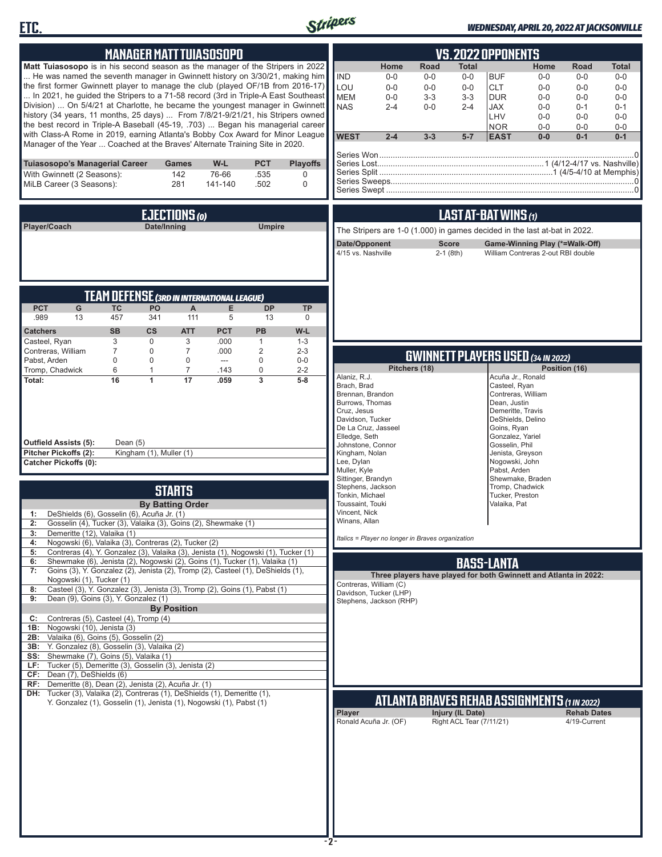



### *WEDNESDAY, APRIL 20, 2022 AT JACKSONVILLE*

| <b>MANAGER MATT TUIASOSOPO</b>                                                                                                                                            | <b>VS.2022 OPPONENTS</b>                                                                                                                                                               |
|---------------------------------------------------------------------------------------------------------------------------------------------------------------------------|----------------------------------------------------------------------------------------------------------------------------------------------------------------------------------------|
| Matt Tuiasosopo is in his second season as the manager of the Stripers in 2022                                                                                            | <b>Road</b><br>Home<br><b>Total</b><br>Home<br>Road<br>Total                                                                                                                           |
| He was named the seventh manager in Gwinnett history on 3/30/21, making him<br>the first former Gwinnett player to manage the club (played OF/1B from 2016-17)            | <b>IND</b><br>$0-0$<br>$0-0$<br>$0-0$<br><b>BUF</b><br>$0-0$<br>$0-0$<br>$0-0$<br>LOU<br>$0-0$<br>$0-0$<br>$0-0$<br><b>CLT</b><br>$0 - 0$<br>$0 - 0$<br>$0 - 0$                        |
| In 2021, he guided the Stripers to a 71-58 record (3rd in Triple-A East Southeast<br>Division)  On 5/4/21 at Charlotte, he became the youngest manager in Gwinnett        | <b>MEM</b><br>$0 - 0$<br>$3 - 3$<br>$3 - 3$<br><b>DUR</b><br>$0 - 0$<br>$0 - 0$<br>$0-0$<br><b>NAS</b><br>$0 - 0$<br><b>JAX</b><br>$0 - 0$<br>$0 - 1$<br>$2 - 4$<br>$2 - 4$<br>$0 - 1$ |
| history (34 years, 11 months, 25 days)  From 7/8/21-9/21/21, his Stripers owned                                                                                           | LHV<br>$0 - 0$<br>$0 - 0$<br>$0-0$                                                                                                                                                     |
| the best record in Triple-A Baseball (45-19, .703)  Began his managerial career<br>with Class-A Rome in 2019, earning Atlanta's Bobby Cox Award for Minor League          | <b>NOR</b><br>$0-0$<br>$0-0$<br>$0-0$<br><b>WEST</b><br>$2 - 4$<br>$5-7$<br><b>EAST</b><br>$0 - 0$<br>$0 - 1$<br>$0 - 1$<br>$3 - 3$                                                    |
| Manager of the Year  Coached at the Braves' Alternate Training Site in 2020.                                                                                              |                                                                                                                                                                                        |
| <b>PCT</b><br><b>Playoffs</b><br>Tuiasosopo's Managerial Career<br>W-L<br>Games                                                                                           |                                                                                                                                                                                        |
| With Gwinnett (2 Seasons):<br>142<br>76-66<br>.535<br>0<br>MiLB Career (3 Seasons):<br>281<br>$\mathbf 0$<br>141-140<br>.502                                              |                                                                                                                                                                                        |
|                                                                                                                                                                           |                                                                                                                                                                                        |
| EJECTIONS (0)                                                                                                                                                             | LAST AT-BAT WINS (1)                                                                                                                                                                   |
| Player/Coach<br>Date/Inning<br><b>Umpire</b>                                                                                                                              | The Stripers are 1-0 (1.000) in games decided in the last at-bat in 2022.                                                                                                              |
|                                                                                                                                                                           | Date/Opponent<br><b>Score</b><br>Game-Winning Play (*=Walk-Off)                                                                                                                        |
|                                                                                                                                                                           | 4/15 vs. Nashville<br>$2-1$ (8th)<br>William Contreras 2-out RBI double                                                                                                                |
|                                                                                                                                                                           |                                                                                                                                                                                        |
| <b>TEAM DEFENSE (3RD IN INTERNATIONAL LEAGUE)</b>                                                                                                                         |                                                                                                                                                                                        |
| <b>PCT</b><br>G<br><b>TC</b><br>PO<br>E<br><b>DP</b><br><b>TP</b><br>A                                                                                                    |                                                                                                                                                                                        |
| 457<br>.989<br>13<br>341<br>111<br>5<br>13<br>0<br><b>SB</b><br>$\mathsf{cs}$<br><b>PB</b>                                                                                |                                                                                                                                                                                        |
| <b>PCT</b><br><b>ATT</b><br>W-L<br><b>Catchers</b><br>3<br>0<br>Casteel, Ryan<br>3<br>.000<br>$\mathbf{1}$<br>$1 - 3$                                                     |                                                                                                                                                                                        |
| $\overline{7}$<br>$\overline{2}$<br>Contreras, William<br>0<br>.000<br>7<br>$2 - 3$<br>$\mathbf 0$<br>$\mathbf 0$<br>Pabst, Arden<br>$\Omega$<br>$\Omega$<br>---<br>$0-0$ | <b>GWINNETT PLAYERS USED (34 IN 2022)</b>                                                                                                                                              |
| Tromp, Chadwick<br>6<br>$\mathbf{1}$<br>$\overline{7}$<br>.143<br>0<br>$2 - 2$                                                                                            | Pitchers (18)<br>Position (16)<br>Alaniz, R.J.<br>Acuña Jr., Ronald                                                                                                                    |
| $\overline{\mathbf{3}}$<br>Total:<br>16<br>1<br>17<br>.059<br>$5-8$                                                                                                       | Brach, Brad<br>Casteel, Ryan                                                                                                                                                           |
|                                                                                                                                                                           | Brennan, Brandon<br>Contreras, William<br>Burrows, Thomas<br>Dean, Justin                                                                                                              |
|                                                                                                                                                                           | Cruz, Jesus<br>Demeritte, Travis<br>Davidson, Tucker<br>DeShields, Delino                                                                                                              |
|                                                                                                                                                                           | De La Cruz, Jasseel<br>Goins, Ryan<br>Elledge, Seth<br>Gonzalez, Yariel                                                                                                                |
| <b>Outfield Assists (5):</b><br>Dean $(5)$<br>Pitcher Pickoffs (2):<br>Kingham (1), Muller (1)                                                                            | Johnstone, Connor<br>Gosselin, Phil<br>Kingham, Nolan<br>Jenista, Greyson                                                                                                              |
| <b>Catcher Pickoffs (0):</b>                                                                                                                                              | Lee, Dylan<br>Nogowski, John<br>Muller, Kyle<br>Pabst, Arden                                                                                                                           |
|                                                                                                                                                                           | Sittinger, Brandyn<br>Shewmake, Braden<br>Stephens, Jackson<br>Tromp, Chadwick                                                                                                         |
| <b>STARTS</b><br><b>By Batting Order</b>                                                                                                                                  | Tonkin, Michael<br>Tucker, Preston<br>Toussaint, Touki<br>Valaika, Pat                                                                                                                 |
| DeShields (6), Gosselin (6), Acuña Jr. (1)                                                                                                                                | Vincent, Nick                                                                                                                                                                          |
| Gosselin (4), Tucker (3), Valaika (3), Goins (2), Shewmake (1)<br>2:<br>Demeritte (12), Valaika (1)<br>3:                                                                 | Winans, Allan                                                                                                                                                                          |
| Nogowski (6), Valaika (3), Contreras (2), Tucker (2)<br>4:<br>Contreras (4), Y. Gonzalez (3), Valaika (3), Jenista (1), Nogowski (1), Tucker (1)<br>5:                    | Italics = Player no longer in Braves organization                                                                                                                                      |
| Shewmake (6), Jenista (2), Nogowski (2), Goins (1), Tucker (1), Valaika (1)<br>6:                                                                                         | <b>BASS-LANTA</b>                                                                                                                                                                      |
| Goins (3), Y. Gonzalez (2), Jenista (2), Tromp (2), Casteel (1), DeShields (1),<br>7:<br>Nogowski (1), Tucker (1)                                                         | Three players have played for both Gwinnett and Atlanta in 2022:<br>Contreras, William (C)                                                                                             |
| Casteel (3), Y. Gonzalez (3), Jenista (3), Tromp (2), Goins (1), Pabst (1)<br>8:<br>Dean (9), Goins (3), Y. Gonzalez (1)<br>9:                                            | Davidson, Tucker (LHP)<br>Stephens, Jackson (RHP)                                                                                                                                      |
| <b>By Position</b>                                                                                                                                                        |                                                                                                                                                                                        |
| Contreras (5), Casteel (4), Tromp (4)<br>C:<br>1B: Nogowski (10), Jenista (3)                                                                                             |                                                                                                                                                                                        |
| 2B: Valaika (6), Goins (5), Gosselin (2)<br>3B: Y. Gonzalez (8), Gosselin (3), Valaika (2)                                                                                |                                                                                                                                                                                        |
| SS: Shewmake (7), Goins (5), Valaika (1)<br>LF: Tucker (5), Demeritte (3), Gosselin (3), Jenista (2)                                                                      |                                                                                                                                                                                        |
| CF: Dean (7), DeShields (6)                                                                                                                                               |                                                                                                                                                                                        |
| RF: Demeritte (8), Dean (2), Jenista (2), Acuña Jr. (1)<br>DH: Tucker (3), Valaika (2), Contreras (1), DeShields (1), Demeritte (1),                                      |                                                                                                                                                                                        |
| Y. Gonzalez (1), Gosselin (1), Jenista (1), Nogowski (1), Pabst (1)                                                                                                       | ATLANTA BRAVES REHAB ASSIGNMENTS (1 in 2022)<br>Injury (IL Date)<br><b>Rehab Dates</b><br><b>Player</b>                                                                                |
|                                                                                                                                                                           | Right ACL Tear (7/11/21)<br>Ronald Acuña Jr. (OF)<br>4/19-Current                                                                                                                      |
|                                                                                                                                                                           |                                                                                                                                                                                        |
|                                                                                                                                                                           |                                                                                                                                                                                        |
|                                                                                                                                                                           |                                                                                                                                                                                        |
|                                                                                                                                                                           |                                                                                                                                                                                        |
|                                                                                                                                                                           |                                                                                                                                                                                        |
|                                                                                                                                                                           |                                                                                                                                                                                        |
|                                                                                                                                                                           |                                                                                                                                                                                        |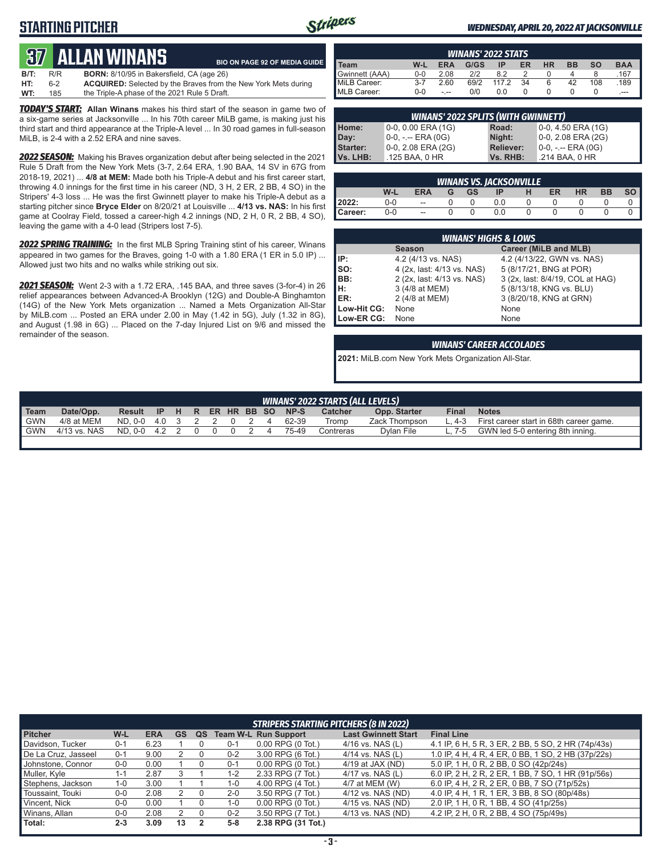### **STARTING PITCHER**



#### *WEDNESDAY, APRIL 20, 2022 AT JACKSONVILLE*

# **37****Allan Winans**

|      |     | QV ALLAN WINANJ                                  | <b>BIO ON PAGE 92 OF MEDIA GUIDE</b>                                  |
|------|-----|--------------------------------------------------|-----------------------------------------------------------------------|
| B/T: | R/R | <b>BORN:</b> 8/10/95 in Bakersfield, CA (age 26) |                                                                       |
| HT:  | 6-2 |                                                  | <b>ACQUIRED:</b> Selected by the Braves from the New York Mets during |
| WT:  | 185 | the Triple-A phase of the 2021 Rule 5 Draft.     |                                                                       |

*TODAY'S START:* **Allan Winans** makes his third start of the season in game two of a six-game series at Jacksonville ... In his 70th career MiLB game, is making just his third start and third appearance at the Triple-A level ... In 30 road games in full-season MiLB, is 2-4 with a 2.52 ERA and nine saves.

*2022 SEASON:* Making his Braves organization debut after being selected in the 2021 Rule 5 Draft from the New York Mets (3-7, 2.64 ERA, 1.90 BAA, 14 SV in 67G from 2018-19, 2021) ... **4/8 at MEM:** Made both his Triple-A debut and his first career start, throwing 4.0 innings for the first time in his career (ND, 3 H, 2 ER, 2 BB, 4 SO) in the Stripers' 4-3 loss ... He was the first Gwinnett player to make his Triple-A debut as a starting pitcher since **Bryce Elder** on 8/20/21 at Louisville ... **4/13 vs. NAS:** In his first game at Coolray Field, tossed a career-high 4.2 innings (ND, 2 H, 0 R, 2 BB, 4 SO), leaving the game with a 4-0 lead (Stripers lost 7-5).

*2022 SPRING TRAINING:* In the first MLB Spring Training stint of his career, Winans appeared in two games for the Braves, going 1-0 with a 1.80 ERA (1 ER in 5.0 IP) ... Allowed just two hits and no walks while striking out six.

*2021 SEASON:* Went 2-3 with a 1.72 ERA, .145 BAA, and three saves (3-for-4) in 26 relief appearances between Advanced-A Brooklyn (12G) and Double-A Binghamton (14G) of the New York Mets organization ... Named a Mets Organization All-Star by MiLB.com ... Posted an ERA under 2.00 in May (1.42 in 5G), July (1.32 in 8G), and August (1.98 in 6G) ... Placed on the 7-day Injured List on 9/6 and missed the remainder of the season.

| <b>WINANS' 2022 STATS</b> |         |      |      |       |    |           |    |           |            |
|---------------------------|---------|------|------|-------|----|-----------|----|-----------|------------|
| īeam                      | W-L     | ERA  | G/GS | ΙP    | ER | <b>HR</b> | вв | <b>SO</b> | <b>BAA</b> |
| Gwinnett (AAA)            | 0-0     | 2.08 | 212  | 82    |    |           |    | 8         | .167       |
| MiLB Career:              | $3 - 7$ | 2.60 | 69/2 | 117.2 | 34 | 6         | 42 | 108       | .189       |
| MLB Career:               | $0 - 0$ | - -- | 0/0  | 0.0   |    |           |    |           | $---$      |

| <b>WINANS' 2022 SPLITS (WITH GWINNETT)</b> |                      |                  |                       |  |  |  |  |  |  |  |
|--------------------------------------------|----------------------|------------------|-----------------------|--|--|--|--|--|--|--|
| Home:<br>Day:                              | $0-0, 0.00$ ERA (1G) | Road:            | $0-0, 4.50$ ERA (1G)  |  |  |  |  |  |  |  |
|                                            | 0-0, -.-- ERA (0G)   | Night:           | $0-0$ , 2.08 ERA (2G) |  |  |  |  |  |  |  |
| Starter:                                   | 0-0, 2.08 ERA (2G)   | <b>Reliever:</b> | $0-0, - -$ ERA $(0G)$ |  |  |  |  |  |  |  |
| Vs. LHB:                                   | .125 BAA, 0 HR       | Vs. RHB:         | .214 BAA, 0 HR        |  |  |  |  |  |  |  |

|         | <b>WINANS VS. JACKSONVILLE</b> |                          |   |           |     |  |    |           |           |  |  |  |  |
|---------|--------------------------------|--------------------------|---|-----------|-----|--|----|-----------|-----------|--|--|--|--|
|         | W-L                            | <b>ERA</b>               | G | <b>GS</b> | ΙP  |  | ER | <b>HR</b> | <b>BB</b> |  |  |  |  |
| 2022:   | 0-0                            | $\overline{\phantom{a}}$ |   |           | 0.0 |  |    |           |           |  |  |  |  |
| Career: | 0-0                            | --                       |   |           | 0.0 |  |    |           |           |  |  |  |  |

|             | <b>WINANS' HIGHS &amp; LOWS</b> |                                  |  |  |  |  |  |  |  |  |  |
|-------------|---------------------------------|----------------------------------|--|--|--|--|--|--|--|--|--|
|             | <b>Season</b>                   | Career (MiLB and MLB)            |  |  |  |  |  |  |  |  |  |
| IP:         | 4.2 (4/13 vs. NAS)              | 4.2 (4/13/22, GWN vs. NAS)       |  |  |  |  |  |  |  |  |  |
| SO:         | 4 (2x, last: 4/13 vs. NAS)      | 5 (8/17/21, BNG at POR)          |  |  |  |  |  |  |  |  |  |
| BB:         | 2 (2x, last: 4/13 vs. NAS)      | 3 (2x, last: 8/4/19, COL at HAG) |  |  |  |  |  |  |  |  |  |
| Iн:         | 3 (4/8 at MEM)                  | 5 (8/13/18, KNG vs. BLU)         |  |  |  |  |  |  |  |  |  |
| <b>IER:</b> | 2 (4/8 at MEM)                  | 3 (8/20/18, KNG at GRN)          |  |  |  |  |  |  |  |  |  |
| Low-Hit CG: | None                            | None                             |  |  |  |  |  |  |  |  |  |
| Low-ER CG:  | None                            | None                             |  |  |  |  |  |  |  |  |  |

#### *WINANS' CAREER ACCOLADES*

**2021:** MiLB.com New York Mets Organization All-Star.

|                  | WINANS' 2022 STARTS (ALL LEVELS) |                |                    |  |  |  |  |  |  |       |           |               |       |                                         |
|------------------|----------------------------------|----------------|--------------------|--|--|--|--|--|--|-------|-----------|---------------|-------|-----------------------------------------|
| Team             | Date/Opp.                        | Result         | IP H R ER HR BB SO |  |  |  |  |  |  | NP-S  | Catcher   | Opp. Starter  | Final | <b>Notes</b>                            |
| <sup>1</sup> GWN | 4/8 at MEM                       | ND.0-0 4.0 3 2 |                    |  |  |  |  |  |  | 62-39 | Tromp     | Zack Thompson | 4-3   | First career start in 68th career game. |
| <sup>1</sup> GWN | 4/13 vs. NAS                     | ND. 0-0 4.2 2  |                    |  |  |  |  |  |  | 75-49 | Contreras | Dylan File    | - 7-5 | GWN led 5-0 entering 8th inning.        |
|                  |                                  |                |                    |  |  |  |  |  |  |       |           |               |       |                                         |

| <b>STRIPERS STARTING PITCHERS (8 IN 2022)</b> |         |            |           |    |         |                             |                            |                                                    |  |  |
|-----------------------------------------------|---------|------------|-----------|----|---------|-----------------------------|----------------------------|----------------------------------------------------|--|--|
| <b>Pitcher</b>                                | $W-L$   | <b>ERA</b> | <b>GS</b> | QS |         | <b>Team W-L Run Support</b> | <b>Last Gwinnett Start</b> | <b>Final Line</b>                                  |  |  |
| Davidson, Tucker                              | $0 - 1$ | 6.23       |           |    | $0 - 1$ | $0.00$ RPG $(0$ Tot.)       | $4/16$ vs. NAS $(L)$       | 4.1 IP, 6 H, 5 R, 3 ER, 2 BB, 5 SO, 2 HR (74p/43s) |  |  |
| De La Cruz, Jasseel                           | $0 - 1$ | 9.00       |           |    | $0 - 2$ | 3.00 RPG (6 Tot.)           | $4/14$ vs. NAS (L)         | 1.0 IP, 4 H, 4 R, 4 ER, 0 BB, 1 SO, 2 HB (37p/22s) |  |  |
| Johnstone, Connor                             | $0 - 0$ | 0.00       |           |    | $0 - 1$ | $0.00$ RPG $(0)$ Tot.)      | $4/19$ at JAX (ND)         | 5.0 IP, 1 H, 0 R, 2 BB, 0 SO (42p/24s)             |  |  |
| Muller, Kyle                                  | l - 1   | 2.87       |           |    | $1 - 2$ | 2.33 RPG (7 Tot.)           | $4/17$ vs. NAS (L)         | 6.0 IP, 2 H, 2 R, 2 ER, 1 BB, 7 SO, 1 HR (91p/56s) |  |  |
| Stephens, Jackson                             | $1 - 0$ | 3.00       |           |    | $1 - 0$ | 4.00 RPG (4 Tot.)           | 4/7 at MEM (W)             | 6.0 IP, 4 H, 2 R, 2 ER, 0 BB, 7 SO (71p/52s)       |  |  |
| Toussaint, Touki                              | $0-0$   | 2.08       |           |    | $2 - 0$ | 3.50 RPG (7 Tot.)           | 4/12 vs. NAS (ND)          | 4.0 IP, 4 H, 1 R, 1 ER, 3 BB, 8 SO (80p/48s)       |  |  |
| Vincent, Nick                                 | $0-0$   | 0.00       |           |    | 1-0     | $0.00$ RPG $(0$ Tot.)       | 4/15 vs. NAS (ND)          | 2.0 IP, 1 H, 0 R, 1 BB, 4 SO (41p/25s)             |  |  |
| Winans, Allan                                 | $0 - 0$ | 2.08       |           |    | $0 - 2$ | 3.50 RPG (7 Tot.)           | 4/13 vs. NAS (ND)          | 4.2 IP, 2 H, 0 R, 2 BB, 4 SO (75p/49s)             |  |  |
| Total:                                        | $2 - 3$ | 3.09       | 13        |    | $5-8$   | 2.38 RPG (31 Tot.)          |                            |                                                    |  |  |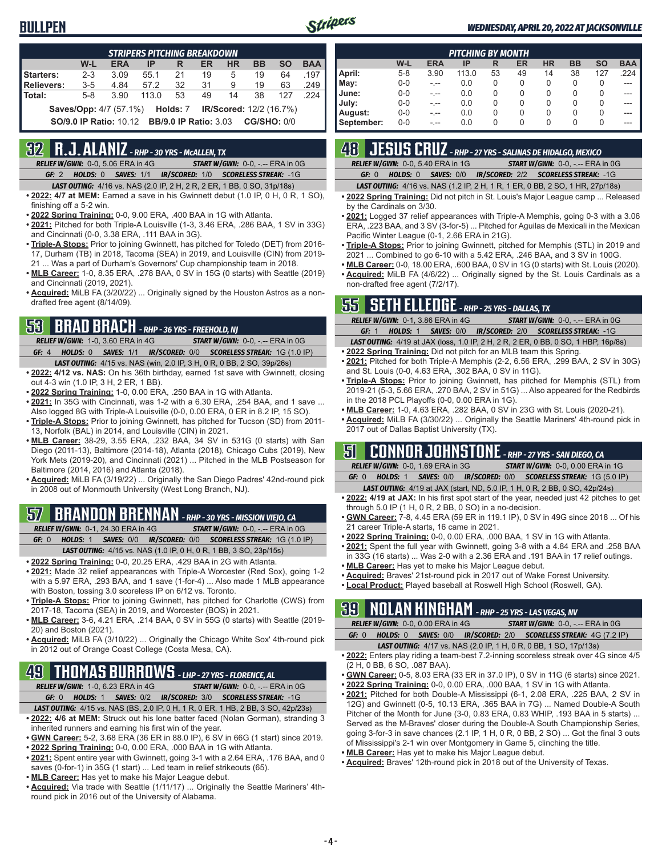

#### *WEDNESDAY, APRIL 20, 2022 AT JACKSONVILLE*

| <b>STRIPERS PITCHING BREAKDOWN</b> |                                                                       |            |                                                                 |    |    |           |           |           |            |  |
|------------------------------------|-----------------------------------------------------------------------|------------|-----------------------------------------------------------------|----|----|-----------|-----------|-----------|------------|--|
|                                    | W-L                                                                   | <b>ERA</b> | IP                                                              | R  | ER | <b>HR</b> | <b>BB</b> | <b>SO</b> | <b>BAA</b> |  |
| <b>Starters:</b>                   | $2 - 3$                                                               | 3.09       | 55.1                                                            | 21 | 19 | 5         | 19        | 64        | .197       |  |
| Relievers:                         | $3 - 5$                                                               | 4.84       | 57.2                                                            | 32 | 31 | 9         | 19        | 63        | .249       |  |
| Total:                             | $5-8$                                                                 | 3.90       | 113.0                                                           | 53 | 49 | 14        | 38        | 127       | 224        |  |
|                                    | <b>Saves/Opp:</b> 4/7 (57.1%) <b>Holds: 7 IR/Scored:</b> 12/2 (16.7%) |            |                                                                 |    |    |           |           |           |            |  |
|                                    |                                                                       |            | <b>SO/9.0 IP Ratio: 10.12 BB/9.0 IP Ratio: 3.03 CG/SHO: 0/0</b> |    |    |           |           |           |            |  |

### **32 R.J. ALANIZ** *- RHP - 30 YRS - McALLEN, TX*

*RELIEF W/GWN:*0-0, 5.06 ERA in 4G *START W/GWN:*0-0, -.-- ERA in 0G *GF:*2 *HOLDS:*0 *SAVES:*1/1 *IR/SCORED:*1/0 *SCORELESS STREAK:*-1G

- *LAST OUTING:*4/16 vs. NAS (2.0 IP, 2 H, 2 R, 2 ER, 1 BB, 0 SO, 31p/18s)
- **• 2022: 4/7 at MEM:** Earned a save in his Gwinnett debut (1.0 IP, 0 H, 0 R, 1 SO), finishing off a 5-2 win.
- **• 2022 Spring Training:** 0-0, 9.00 ERA, .400 BAA in 1G with Atlanta.
- **• 2021:** Pitched for both Triple-A Louisville (1-3, 3.46 ERA, .286 BAA, 1 SV in 33G) and Cincinnati (0-0, 3.38 ERA, .111 BAA in 3G).
- **• Triple-A Stops:** Prior to joining Gwinnett, has pitched for Toledo (DET) from 2016- 17, Durham (TB) in 2018, Tacoma (SEA) in 2019, and Louisville (CIN) from 2019- 21 ... Was a part of Durham's Governors' Cup championship team in 2018.
- **• MLB Career:** 1-0, 8.35 ERA, .278 BAA, 0 SV in 15G (0 starts) with Seattle (2019) and Cincinnati (2019, 2021).
- **• Acquired:** MiLB FA (3/20/22) ... Originally signed by the Houston Astros as a nondrafted free agent (8/14/09).

### **53 BRAD BRACH** *- RHP - 36 YRS - FREEHOLD, NJ*

*RELIEF W/GWN:*1-0, 3.60 ERA in 4G *START W/GWN:*0-0, -.-- ERA in 0G *GF:*4 *HOLDS:*0 *SAVES:*1/1 *IR/SCORED:*0/0 *SCORELESS STREAK:*1G (1.0 IP) *LAST OUTING:*4/15 vs. NAS (win, 2.0 IP, 3 H, 0 R, 0 BB, 2 SO, 39p/26s)

- **• 2022: 4/12 vs. NAS:** On his 36th birthday, earned 1st save with Gwinnett, closing out 4-3 win (1.0 IP, 3 H, 2 ER, 1 BB).
- **• 2022 Spring Training:** 1-0, 0.00 ERA, .250 BAA in 1G with Atlanta.
- **• 2021:** In 35G with Cincinnati, was 1-2 with a 6.30 ERA, .254 BAA, and 1 save ... Also logged 8G with Triple-A Louisville (0-0, 0.00 ERA, 0 ER in 8.2 IP, 15 SO).
- **• Triple-A Stops:** Prior to joining Gwinnett, has pitched for Tucson (SD) from 2011- 13, Norfolk (BAL) in 2014, and Louisville (CIN) in 2021.
- **• MLB Career:** 38-29, 3.55 ERA, .232 BAA, 34 SV in 531G (0 starts) with San Diego (2011-13), Baltimore (2014-18), Atlanta (2018), Chicago Cubs (2019), New York Mets (2019-20), and Cincinnati (2021) ... Pitched in the MLB Postseason for Baltimore (2014, 2016) and Atlanta (2018).
- **• Acquired:** MiLB FA (3/19/22) ... Originally the San Diego Padres' 42nd-round pick in 2008 out of Monmouth University (West Long Branch, NJ).

### **57 BRANDON BRENNAN** *- RHP - 30 YRS - MISSION VIEJO, CA*

*RELIEF W/GWN:*0-1, 24.30 ERA in 4G *START W/GWN:*0-0, -.-- ERA in 0G

*GF:*0 *HOLDS:*1 *SAVES:*0/0 *IR/SCORED:*0/0 *SCORELESS STREAK:*1G (1.0 IP) *LAST OUTING:*4/15 vs. NAS (1.0 IP, 0 H, 0 R, 1 BB, 3 SO, 23p/15s)

- **• 2022 Spring Training:** 0-0, 20.25 ERA, .429 BAA in 2G with Atlanta.
- **• 2021:** Made 32 relief appearances with Triple-A Worcester (Red Sox), going 1-2 with a 5.97 ERA, .293 BAA, and 1 save (1-for-4) ... Also made 1 MLB appearance with Boston, tossing 3.0 scoreless IP on 6/12 vs. Toronto.
- **• Triple-A Stops:** Prior to joining Gwinnett, has pitched for Charlotte (CWS) from 2017-18, Tacoma (SEA) in 2019, and Worcester (BOS) in 2021.
- **• MLB Career:** 3-6, 4.21 ERA, .214 BAA, 0 SV in 55G (0 starts) with Seattle (2019- 20) and Boston (2021).
- **• Acquired:** MiLB FA (3/10/22) ... Originally the Chicago White Sox' 4th-round pick in 2012 out of Orange Coast College (Costa Mesa, CA).

# **49 THOMAS BURROWS** *- LHP - 27 YRS - FLORENCE, AL*

- *RELIEF W/GWN:*1-0, 6.23 ERA in 4G *START W/GWN:*0-0, -.-- ERA in 0G *GF:*0 *HOLDS:*1 *SAVES:*0/2 *IR/SCORED:*3/0 *SCORELESS STREAK:*-1G *LAST OUTING:*4/15 vs. NAS (BS, 2.0 IP, 0 H, 1 R, 0 ER, 1 HB, 2 BB, 3 SO, 42p/23s)
- **• 2022: 4/6 at MEM:** Struck out his lone batter faced (Nolan Gorman), stranding 3 inherited runners and earning his first win of the year.
- **• GWN Career:** 5-2, 3.68 ERA (36 ER in 88.0 IP), 6 SV in 66G (1 start) since 2019.
- **• 2022 Spring Training:** 0-0, 0.00 ERA, .000 BAA in 1G with Atlanta.
- **• 2021:** Spent entire year with Gwinnett, going 3-1 with a 2.64 ERA, .176 BAA, and 0 saves (0-for-1) in 35G (1 start) ... Led team in relief strikeouts (65).
- **• MLB Career:** Has yet to make his Major League debut.
- **• Acquired:** Via trade with Seattle (1/11/17) ... Originally the Seattle Mariners' 4thround pick in 2016 out of the University of Alabama.

|            | <b>PITCHING BY MONTH</b> |            |       |    |    |           |           |           |            |  |  |  |
|------------|--------------------------|------------|-------|----|----|-----------|-----------|-----------|------------|--|--|--|
|            | W-L                      | <b>ERA</b> | IP    | R  | ER | <b>HR</b> | <b>BB</b> | <b>SO</b> | <b>BAA</b> |  |  |  |
| April:     | $5 - 8$                  | 3.90       | 113.0 | 53 | 49 | 14        | 38        | 127       | .224       |  |  |  |
| May:       | $0 - 0$                  |            | 0.0   | 0  | 0  | 0         | 0         | 0         |            |  |  |  |
| June:      | $0-0$                    |            | 0.0   | 0  | 0  | 0         | 0         | 0         |            |  |  |  |
| July:      | $0-0$                    |            | 0.0   | 0  | 0  | 0         | 0         | 0         |            |  |  |  |
| August:    | $0 - 0$                  |            | 0.0   | 0  | 0  | 0         | 0         | $\Omega$  |            |  |  |  |
| September: | $0 - 0$                  | .          | 0.0   | 0  | 0  | 0         | 0         | 0         |            |  |  |  |

### **48 JESUS CRUZ** *- RHP - 27 YRS - SALINAS DE HIDALGO, MEXICO*

*RELIEF W/GWN:*0-0, 5.40 ERA in 1G *START W/GWN:*0-0, -.-- ERA in 0G *GF:*0 *HOLDS:*0 *SAVES:*0/0 *IR/SCORED:*2/2 *SCORELESS STREAK:*-1G

*LAST OUTING:*4/16 vs. NAS (1.2 IP, 2 H, 1 R, 1 ER, 0 BB, 2 SO, 1 HR, 27p/18s)

- **• 2022 Spring Training:** Did not pitch in St. Louis's Major League camp ... Released by the Cardinals on 3/30.
- **• 2021:** Logged 37 relief appearances with Triple-A Memphis, going 0-3 with a 3.06 ERA, .223 BAA, and 3 SV (3-for-5) ... Pitched for Aguilas de Mexicali in the Mexican Pacific Winter League (0-1, 2.66 ERA in 21G).
- **• Triple-A Stops:** Prior to joining Gwinnett, pitched for Memphis (STL) in 2019 and 2021 ... Combined to go 6-10 with a 5.42 ERA, .246 BAA, and 3 SV in 100G.
- **• MLB Career:** 0-0, 18.00 ERA, .600 BAA, 0 SV in 1G (0 starts) with St. Louis (2020). **• Acquired:** MiLB FA (4/6/22) ... Originally signed by the St. Louis Cardinals as a non-drafted free agent (7/2/17).

# **55 SETH ELLEDGE** *- RHP - 25 YRS - DALLAS, TX*

| ____                                     |                                                                                           |
|------------------------------------------|-------------------------------------------------------------------------------------------|
| <b>RELIEF W/GWN: 0-1, 3.86 ERA in 4G</b> | <b>START W/GWN: 0-0, -.-- ERA in 0G</b>                                                   |
| GF: 1                                    | <b>HOLDS: 1 SAVES: 0/0 IR/SCORED: 2/0 SCORELESS STREAK: -1G</b>                           |
|                                          | <b>LAST OUTING:</b> 4/19 at JAX (loss, 1.0 IP, 2 H, 2 R, 2 ER, 0 BB, 0 SO, 1 HBP, 16p/8s) |

- **• 2022 Spring Training:** Did not pitch for an MLB team this Spring.
- **• 2021:** Pitched for both Triple-A Memphis (2-2, 6.56 ERA, .299 BAA, 2 SV in 30G) and St. Louis (0-0, 4.63 ERA, .302 BAA, 0 SV in 11G).
- **• Triple-A Stops:** Prior to joining Gwinnett, has pitched for Memphis (STL) from 2019-21 (5-3, 5.66 ERA, .270 BAA, 2 SV in 51G) ... Also appeared for the Redbirds in the 2018 PCL Playoffs (0-0, 0.00 ERA in 1G).
- **• MLB Career:** 1-0, 4.63 ERA, .282 BAA, 0 SV in 23G with St. Louis (2020-21).
- **• Acquired:** MiLB FA (3/30/22) ... Originally the Seattle Mariners' 4th-round pick in 2017 out of Dallas Baptist University (TX).

### **51 CONNOR JOHNSTONE** *- RHP - 27 YRS - SAN DIEGO, CA*

| <b>RELIEF W/GWN: 0-0, 1.69 ERA in 3G</b> | <b>START W/GWN: 0-0, 0.00 ERA in 1G</b>                                       |
|------------------------------------------|-------------------------------------------------------------------------------|
|                                          | <b>GF: 0 HOLDS: 1 SAVES: 0/0 IR/SCORED: 0/0 SCORELESS STREAK: 1G (5.0 IP)</b> |

- *LAST OUTING:*4/19 at JAX (start, ND, 5.0 IP, 1 H, 0 R, 2 BB, 0 SO, 42p/24s) **• 2022: 4/19 at JAX:** In his first spot start of the year, needed just 42 pitches to get through 5.0 IP (1 H, 0 R, 2 BB, 0 SO) in a no-decision.
- **• GWN Career:** 7-8, 4.45 ERA (59 ER in 119.1 IP), 0 SV in 49G since 2018 ... Of his 21 career Triple-A starts, 16 came in 2021.
- **• 2022 Spring Training:** 0-0, 0.00 ERA, .000 BAA, 1 SV in 1G with Atlanta.
- **• 2021:** Spent the full year with Gwinnett, going 3-8 with a 4.84 ERA and .258 BAA in 33G (16 starts) ... Was 2-0 with a 2.36 ERA and .191 BAA in 17 relief outings.
- **• MLB Career:** Has yet to make his Major League debut.
- **• Acquired:** Braves' 21st-round pick in 2017 out of Wake Forest University.
- **• Local Product:** Played baseball at Roswell High School (Roswell, GA).

# **39 NOLAN KINGHAM** *- RHP - 25 YRS - LAS VEGAS, NV*

|  | RELIEF W/GWN: 0-0, 0.00 ERA in 4G |  | <b>START W/GWN: 0-0, -.-- ERA in 0G</b>                                       |
|--|-----------------------------------|--|-------------------------------------------------------------------------------|
|  |                                   |  | <b>GF:</b> 0 HOLDS: 0 SAVES: 0/0 IR/SCORED: 2/0 SCORELESS STREAK: 4G (7.2 IP) |
|  |                                   |  |                                                                               |

- *LAST OUTING:*4/17 vs. NAS (2.0 IP, 1 H, 0 R, 0 BB, 1 SO, 17p/13s)
- **• 2022:** Enters play riding a team-best 7.2-inning scoreless streak over 4G since 4/5 (2 H, 0 BB, 6 SO, .087 BAA).
- **• GWN Career:** 0-5, 8.03 ERA (33 ER in 37.0 IP), 0 SV in 11G (6 starts) since 2021.
- **• 2022 Spring Training:** 0-0, 0.00 ERA, .000 BAA, 1 SV in 1G with Atlanta. **• 2021:** Pitched for both Double-A Mississippi (6-1, 2.08 ERA, .225 BAA, 2 SV in 12G) and Gwinnett (0-5, 10.13 ERA, .365 BAA in 7G) ... Named Double-A South Pitcher of the Month for June (3-0, 0.83 ERA, 0.83 WHIP, .193 BAA in 5 starts) ... Served as the M-Braves' closer during the Double-A South Championship Series, going 3-for-3 in save chances (2.1 IP, 1 H, 0 R, 0 BB, 2 SO) ... Got the final 3 outs of Mississippi's 2-1 win over Montgomery in Game 5, clinching the title.
- **• MLB Career:** Has yet to make his Major League debut.
- **• Acquired:** Braves' 12th-round pick in 2018 out of the University of Texas.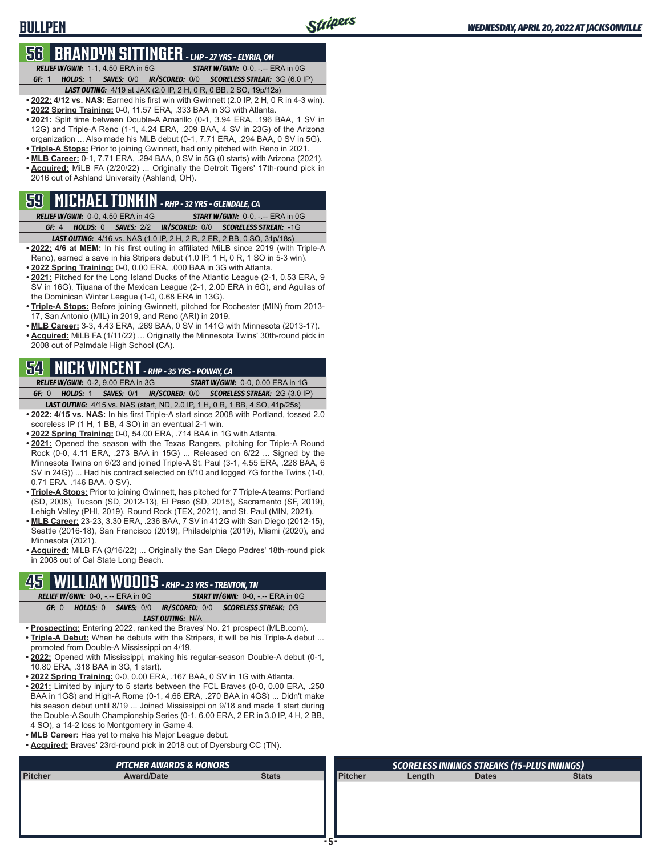# **56 BRANDYN SITTINGER** *- LHP - 27 YRS - ELYRIA, OH*

**BULLPEN**

*RELIEF W/GWN:*1-1, 4.50 ERA in 5G *START W/GWN:*0-0, -.-- ERA in 0G *GF:*1 *HOLDS:*1 *SAVES:*0/0 *IR/SCORED:*0/0 *SCORELESS STREAK:*3G (6.0 IP)

- *LAST OUTING:*4/19 at JAX (2.0 IP, 2 H, 0 R, 0 BB, 2 SO, 19p/12s) **• 2022: 4/12 vs. NAS:** Earned his first win with Gwinnett (2.0 IP, 2 H, 0 R in 4-3 win).
- **• 2022 Spring Training:** 0-0, 11.57 ERA, .333 BAA in 3G with Atlanta.
- **• 2021:** Split time between Double-A Amarillo (0-1, 3.94 ERA, .196 BAA, 1 SV in 12G) and Triple-A Reno (1-1, 4.24 ERA, .209 BAA, 4 SV in 23G) of the Arizona organization ... Also made his MLB debut (0-1, 7.71 ERA, .294 BAA, 0 SV in 5G).
- **• Triple-A Stops:** Prior to joining Gwinnett, had only pitched with Reno in 2021.
- **• MLB Career:** 0-1, 7.71 ERA, .294 BAA, 0 SV in 5G (0 starts) with Arizona (2021). **• Acquired:** MiLB FA (2/20/22) ... Originally the Detroit Tigers' 17th-round pick in 2016 out of Ashland University (Ashland, OH).

# **59 MICHAEL TONKIN** *- RHP - 32 YRS - GLENDALE, CA*

*RELIEF W/GWN:*0-0, 4.50 ERA in 4G *START W/GWN:*0-0, -.-- ERA in 0G *GF:*4 *HOLDS:*0 *SAVES:*2/2 *IR/SCORED:*0/0 *SCORELESS STREAK:*-1G

- *LAST OUTING:*4/16 vs. NAS (1.0 IP, 2 H, 2 R, 2 ER, 2 BB, 0 SO, 31p/18s) **• 2022: 4/6 at MEM:** In his first outing in affiliated MiLB since 2019 (with Triple-A Reno), earned a save in his Stripers debut (1.0 IP, 1 H, 0 R, 1 SO in 5-3 win).
- **• 2022 Spring Training:** 0-0, 0.00 ERA, .000 BAA in 3G with Atlanta.
- **• 2021:** Pitched for the Long Island Ducks of the Atlantic League (2-1, 0.53 ERA, 9 SV in 16G), Tijuana of the Mexican League (2-1, 2.00 ERA in 6G), and Aguilas of the Dominican Winter League (1-0, 0.68 ERA in 13G).
- **• Triple-A Stops:** Before joining Gwinnett, pitched for Rochester (MIN) from 2013- 17, San Antonio (MIL) in 2019, and Reno (ARI) in 2019.
- **• MLB Career:** 3-3, 4.43 ERA, .269 BAA, 0 SV in 141G with Minnesota (2013-17).
- **• Acquired:** MiLB FA (1/11/22) ... Originally the Minnesota Twins' 30th-round pick in 2008 out of Palmdale High School (CA).

# **54 NICK VINCENT** *- RHP - 35 YRS - POWAY, CA*

*RELIEF W/GWN:*0-2, 9.00 ERA in 3G *START W/GWN:*0-0, 0.00 ERA in 1G *GF:*0 *HOLDS:*1 *SAVES:*0/1 *IR/SCORED:*0/0 *SCORELESS STREAK:*2G (3.0 IP) *LAST OUTING:*4/15 vs. NAS (start, ND, 2.0 IP, 1 H, 0 R, 1 BB, 4 SO, 41p/25s)

- **• 2022: 4/15 vs. NAS:** In his first Triple-A start since 2008 with Portland, tossed 2.0 scoreless IP (1 H, 1 BB, 4 SO) in an eventual 2-1 win.
- **• 2022 Spring Training:** 0-0, 54.00 ERA, .714 BAA in 1G with Atlanta.
- **• 2021:** Opened the season with the Texas Rangers, pitching for Triple-A Round Rock (0-0, 4.11 ERA, .273 BAA in 15G) ... Released on 6/22 ... Signed by the Minnesota Twins on 6/23 and joined Triple-A St. Paul (3-1, 4.55 ERA, .228 BAA, 6 SV in 24G)) ... Had his contract selected on 8/10 and logged 7G for the Twins (1-0, 0.71 ERA, .146 BAA, 0 SV).
- **• Triple-A Stops:** Prior to joining Gwinnett, has pitched for 7 Triple-A teams: Portland (SD, 2008), Tucson (SD, 2012-13), El Paso (SD, 2015), Sacramento (SF, 2019), Lehigh Valley (PHI, 2019), Round Rock (TEX, 2021), and St. Paul (MIN, 2021).
- **• MLB Career:** 23-23, 3.30 ERA, .236 BAA, 7 SV in 412G with San Diego (2012-15), Seattle (2016-18), San Francisco (2019), Philadelphia (2019), Miami (2020), and Minnesota (2021).
- **• Acquired:** MiLB FA (3/16/22) ... Originally the San Diego Padres' 18th-round pick in 2008 out of Cal State Long Beach.

# **45 WILLIAM WOODS** *- RHP - 23 YRS - TRENTON, TN*

|                         |       |  | <b>RELIEF W/GWN: 0-0, -.-- ERA in 0G.</b> | <b>START W/GWN: 0-0, -.-- ERA in 0G</b> |  |  |                                                                |  |  |  |  |
|-------------------------|-------|--|-------------------------------------------|-----------------------------------------|--|--|----------------------------------------------------------------|--|--|--|--|
|                         | GF: 0 |  |                                           |                                         |  |  | <b>HOLDS: 0 SAVES: 0/0 IR/SCORED: 0/0 SCORELESS STREAK: 0G</b> |  |  |  |  |
| <b>LAST OUTING: N/A</b> |       |  |                                           |                                         |  |  |                                                                |  |  |  |  |
|                         |       |  |                                           |                                         |  |  |                                                                |  |  |  |  |

- **• Prospecting:** Entering 2022, ranked the Braves' No. 21 prospect (MLB.com). **• Triple-A Debut:** When he debuts with the Stripers, it will be his Triple-A debut ... promoted from Double-A Mississippi on 4/19.
- **• 2022:** Opened with Mississippi, making his regular-season Double-A debut (0-1, 10.80 ERA, .318 BAA in 3G, 1 start).
- **• 2022 Spring Training:** 0-0, 0.00 ERA, .167 BAA, 0 SV in 1G with Atlanta.
- **• 2021:** Limited by injury to 5 starts between the FCL Braves (0-0, 0.00 ERA, .250 BAA in 1GS) and High-A Rome (0-1, 4.66 ERA, .270 BAA in 4GS) ... Didn't make his season debut until 8/19 ... Joined Mississippi on 9/18 and made 1 start during the Double-A South Championship Series (0-1, 6.00 ERA, 2 ER in 3.0 IP, 4 H, 2 BB, 4 SO), a 14-2 loss to Montgomery in Game 4.
- **• MLB Career:** Has yet to make his Major League debut.
- **• Acquired:** Braves' 23rd-round pick in 2018 out of Dyersburg CC (TN).

|         | <b>PITCHER AWARDS &amp; HONORS</b> |              |                | <b>SCORELESS INNINGS STREAKS (15-PLUS INNINGS)</b> |              |              |  |  |
|---------|------------------------------------|--------------|----------------|----------------------------------------------------|--------------|--------------|--|--|
| Pitcher | <b>Award/Date</b>                  | <b>Stats</b> | <b>Pitcher</b> | Length                                             | <b>Dates</b> | <b>Stats</b> |  |  |
|         |                                    |              |                |                                                    |              |              |  |  |
|         |                                    |              |                |                                                    |              |              |  |  |
|         |                                    |              |                |                                                    |              |              |  |  |
|         |                                    |              |                |                                                    |              |              |  |  |
|         |                                    |              |                |                                                    |              |              |  |  |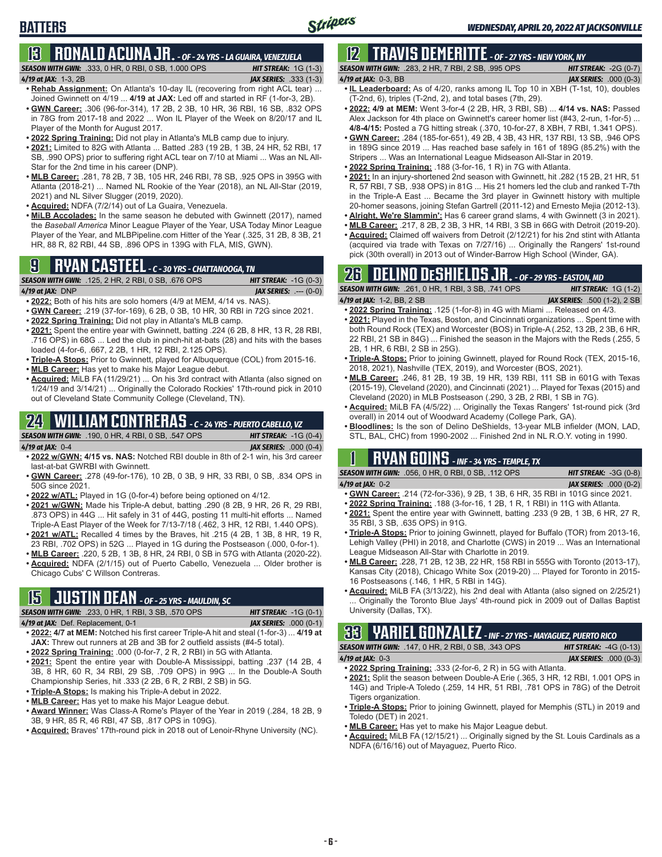# **13 RONALD ACUNA JR.** *- OF - 24 YRS - LA GUAIRA, VENEZUELA*

*SEASON WITH GWN:*.333, 0 HR, 0 RBI, 0 SB, 1.000 OPS *HIT STREAK:* 1G (1-3)

#### *4/19 at JAX:*1-3, 2B *JAX SERIES:* .333 (1-3)

- **• Rehab Assignment:** On Atlanta's 10-day IL (recovering from right ACL tear) ... Joined Gwinnett on 4/19 ... **4/19 at JAX:** Led off and started in RF (1-for-3, 2B). **• GWN Career:** .306 (96-for-314), 17 2B, 2 3B, 10 HR, 36 RBI, 16 SB, .832 OPS in 78G from 2017-18 and 2022 ... Won IL Player of the Week on 8/20/17 and IL Player of the Month for August 2017.
- **• 2022 Spring Training:** Did not play in Atlanta's MLB camp due to injury.
- **• 2021:** Limited to 82G with Atlanta ... Batted .283 (19 2B, 1 3B, 24 HR, 52 RBI, 17 SB, .990 OPS) prior to suffering right ACL tear on 7/10 at Miami ... Was an NL All-Star for the 2nd time in his career (DNP).
- **• MLB Career:** .281, 78 2B, 7 3B, 105 HR, 246 RBI, 78 SB, .925 OPS in 395G with Atlanta (2018-21) ... Named NL Rookie of the Year (2018), an NL All-Star (2019, 2021) and NL Silver Slugger (2019, 2020).
- **• Acquired:** NDFA (7/2/14) out of La Guaira, Venezuela.
- **• MiLB Accolades:** In the same season he debuted with Gwinnett (2017), named the *Baseball America* Minor League Player of the Year, USA Today Minor League Player of the Year, and MLBPipeline.com Hitter of the Year (.325, 31 2B, 8 3B, 21 HR, 88 R, 82 RBI, 44 SB, .896 OPS in 139G with FLA, MIS, GWN).

# **9 RYAN CASTEEL** *- C - 30 YRS - CHATTANOOGA, TN*

|                          | <b>SEASON WITH GWN:</b> .125, 2 HR, 2 RBI, 0 SB, .676 OPS . | <b>HIT STREAK:</b> $-1G(0-3)$  |
|--------------------------|-------------------------------------------------------------|--------------------------------|
| 4 <b>/19 at JAX:</b> DNP |                                                             | <b>JAX SERIES:</b> $--- (0-0)$ |

- **• 2022:** Both of his hits are solo homers (4/9 at MEM, 4/14 vs. NAS).
- **• GWN Career:** .219 (37-for-169), 6 2B, 0 3B, 10 HR, 30 RBI in 72G since 2021. **• 2022 Spring Training:** Did not play in Atlanta's MLB camp.
- **• 2021:** Spent the entire year with Gwinnett, batting .224 (6 2B, 8 HR, 13 R, 28 RBI,
- .716 OPS) in 68G ... Led the club in pinch-hit at-bats (28) and hits with the bases loaded (4-for-6, .667, 2 2B, 1 HR, 12 RBI, 2.125 OPS).
- **• Triple-A Stops:** Prior to Gwinnett, played for Albuquerque (COL) from 2015-16.
- **• MLB Career:** Has yet to make his Major League debut.
- **• Acquired:** MiLB FA (11/29/21) ... On his 3rd contract with Atlanta (also signed on 1/24/19 and 3/14/21) ... Originally the Colorado Rockies' 17th-round pick in 2010 out of Cleveland State Community College (Cleveland, TN).

### **24 WILLIAM CONTRERAS** *- C - 24 YRS - PUERTO CABELLO, VZ*

*SEASON WITH GWN:*.190, 0 HR, 4 RBI, 0 SB, .547 OPS *HIT STREAK:* -1G (0-4) *4/19 at JAX:*0-4 *JAX SERIES:* .000 (0-4)

- **• 2022 w/GWN: 4/15 vs. NAS:** Notched RBI double in 8th of 2-1 win, his 3rd career last-at-bat GWRBI with Gwinnett.
- **• GWN Career:** .278 (49-for-176), 10 2B, 0 3B, 9 HR, 33 RBI, 0 SB, .834 OPS in 50G since 2021.
- **• 2022 w/ATL:** Played in 1G (0-for-4) before being optioned on 4/12.
- **• 2021 w/GWN:** Made his Triple-A debut, batting .290 (8 2B, 9 HR, 26 R, 29 RBI, .873 OPS) in 44G ... Hit safely in 31 of 44G, posting 11 multi-hit efforts ... Named Triple-A East Player of the Week for 7/13-7/18 (.462, 3 HR, 12 RBI, 1.440 OPS).
- **• 2021 w/ATL:** Recalled 4 times by the Braves, hit .215 (4 2B, 1 3B, 8 HR, 19 R, 23 RBI, .702 OPS) in 52G ... Played in 1G during the Postseason (.000, 0-for-1).
- **• MLB Career:** .220, 5 2B, 1 3B, 8 HR, 24 RBI, 0 SB in 57G with Atlanta (2020-22). **• Acquired:** NDFA (2/1/15) out of Puerto Cabello, Venezuela ... Older brother is Chicago Cubs' C Willson Contreras.

# **15 JUSTIN DEAN** *- OF - 25 YRS - MAULDIN, SC*

| <b>SEASON WITH GWN:</b> .233, 0 HR, 1 RBI, 3 SB, .570 OPS | <b>HIT STREAK:</b> $-1G(0-1)$ |
|-----------------------------------------------------------|-------------------------------|
| 4/19 at JAX: Def. Replacement, 0-1                        | <b>JAX SERIES: .000 (0-1)</b> |

- **• 2022: 4/7 at MEM:** Notched his first career Triple-A hit and steal (1-for-3) ... **4/19 at JAX:** Threw out runners at 2B and 3B for 2 outfield assists (#4-5 total).
- **• 2022 Spring Training:** .000 (0-for-7, 2 R, 2 RBI) in 5G with Atlanta.
- **• 2021:** Spent the entire year with Double-A Mississippi, batting .237 (14 2B, 4 3B, 8 HR, 60 R, 34 RBI, 29 SB, .709 OPS) in 99G ... In the Double-A South Championship Series, hit .333 (2 2B, 6 R, 2 RBI, 2 SB) in 5G.
- **• Triple-A Stops:** Is making his Triple-A debut in 2022.
- **• MLB Career:** Has yet to make his Major League debut.
- **• Award Winner:** Was Class-A Rome's Player of the Year in 2019 (.284, 18 2B, 9 3B, 9 HR, 85 R, 46 RBI, 47 SB, .817 OPS in 109G).
- **• Acquired:** Braves' 17th-round pick in 2018 out of Lenoir-Rhyne University (NC).

# **12 TRAVIS DEMERITTE** *- OF - 27 YRS - NEW YORK, NY*

| <b>SEASON WITH GWN:</b> .283. 2 HR. 7 RBI. 2 SB. .995 OPS .                           | <b>HIT STREAK:</b> $-2G(0-7)$ |
|---------------------------------------------------------------------------------------|-------------------------------|
| 4/19 at JAX: 0-3, BB                                                                  | <b>JAX SERIES:</b> .000 (0-3) |
| $\sim$ 1. Leaderbeard: As of 1/20, rapic among 11. Top 10 in VDH (T-1ot, 10), doubles |                               |

- **• IL Leaderboard:** As of 4/20, ranks among IL Top 10 in XBH (T-1st, 10), doubles (T-2nd, 6), triples (T-2nd, 2), and total bases (7th, 29).
- **• 2022: 4/9 at MEM:** Went 3-for-4 (2 2B, HR, 3 RBI, SB) ... **4/14 vs. NAS:** Passed Alex Jackson for 4th place on Gwinnett's career homer list (#43, 2-run, 1-for-5) ... **4/8-4/15:** Posted a 7G hitting streak (.370, 10-for-27, 8 XBH, 7 RBI, 1.341 OPS).
- **• GWN Career:** .284 (185-for-651), 49 2B, 4 3B, 43 HR, 137 RBI, 13 SB, .946 OPS in 189G since 2019 ... Has reached base safely in 161 of 189G (85.2%) with the Stripers ... Was an International League Midseason All-Star in 2019.
- **• 2022 Spring Training:** .188 (3-for-16, 1 R) in 7G with Atlanta.
- **• 2021:** In an injury-shortened 2nd season with Gwinnett, hit .282 (15 2B, 21 HR, 51 R, 57 RBI, 7 SB, .938 OPS) in 81G ... His 21 homers led the club and ranked T-7th in the Triple-A East ... Became the 3rd player in Gwinnett history with multiple 20-homer seasons, joining Stefan Gartrell (2011-12) and Ernesto Mejia (2012-13). **• Alright, We're Slammin':** Has 6 career grand slams, 4 with Gwinnett (3 in 2021).
- **• MLB Career:** .217, 8 2B, 2 3B, 3 HR, 14 RBI, 3 SB in 66G with Detroit (2019-20).
- **• Acquired:** Claimed off waivers from Detroit (2/12/21) for his 2nd stint with Atlanta (acquired via trade with Texas on 7/27/16) ... Originally the Rangers' 1st-round pick (30th overall) in 2013 out of Winder-Barrow High School (Winder, GA).

### **26 DELINO DESHIELDS JR.** *- OF - 29 YRS - EASTON, MD*

| <b>SEASON WITH GWN:</b> .261, 0 HR, 1 RBI, 3 SB, .741 OPS | <b>HIT STREAK:</b> $1G(1-2)$        |
|-----------------------------------------------------------|-------------------------------------|
| <b>4/19 at JAX:</b> 1-2, BB, 2 SB .                       | <b>JAX SERIES:</b> .500 (1-2), 2 SB |

- **• 2022 Spring Training:** .125 (1-for-8) in 4G with Miami ... Released on 4/3. **• 2021:** Played in the Texas, Boston, and Cincinnati organizations ... Spent time with both Round Rock (TEX) and Worcester (BOS) in Triple-A (.252, 13 2B, 2 3B, 6 HR, 22 RBI, 21 SB in 84G) ... Finished the season in the Majors with the Reds (.255, 5 2B, 1 HR, 6 RBI, 2 SB in 25G).
- **• Triple-A Stops:** Prior to joining Gwinnett, played for Round Rock (TEX, 2015-16, 2018, 2021), Nashville (TEX, 2019), and Worcester (BOS, 2021).
- **• MLB Career:** .246, 81 2B, 19 3B, 19 HR, 139 RBI, 111 SB in 601G with Texas (2015-19), Cleveland (2020), and Cincinnati (2021) ... Played for Texas (2015) and Cleveland (2020) in MLB Postseason (.290, 3 2B, 2 RBI, 1 SB in 7G).
- **• Acquired:** MiLB FA (4/5/22) ... Originally the Texas Rangers' 1st-round pick (3rd overall) in 2014 out of Woodward Academy (College Park, GA).
- **• Bloodlines:** Is the son of Delino DeShields, 13-year MLB infielder (MON, LAD, STL, BAL, CHC) from 1990-2002 ... Finished 2nd in NL R.O.Y. voting in 1990.

**1 RYAN GOINS** *- INF - 34 YRS - TEMPLE, TX*

|                          | <b>SEASON WITH GWN:</b> .056, 0 HR, 0 RBI, 0 SB, .112 OPS ' | <b>HIT STREAK: <math>-3G(0-8)</math></b> |
|--------------------------|-------------------------------------------------------------|------------------------------------------|
| 4 <b>/19 at JAX:</b> 0-2 |                                                             | <b>JAX SERIES:</b> .000 (0-2)            |

- **• GWN Career:** .214 (72-for-336), 9 2B, 1 3B, 6 HR, 35 RBI in 101G since 2021.
- **• 2022 Spring Training:** .188 (3-for-16, 1 2B, 1 R, 1 RBI) in 11G with Atlanta.
- **• 2021:** Spent the entire year with Gwinnett, batting .233 (9 2B, 1 3B, 6 HR, 27 R, 35 RBI, 3 SB, .635 OPS) in 91G.
- **• Triple-A Stops:** Prior to joining Gwinnett, played for Buffalo (TOR) from 2013-16, Lehigh Valley (PHI) in 2018, and Charlotte (CWS) in 2019 ... Was an International League Midseason All-Star with Charlotte in 2019.
- **• MLB Career:** .228, 71 2B, 12 3B, 22 HR, 158 RBI in 555G with Toronto (2013-17), Kansas City (2018), Chicago White Sox (2019-20) ... Played for Toronto in 2015- 16 Postseasons (.146, 1 HR, 5 RBI in 14G).
- **• Acquired:** MiLB FA (3/13/22), his 2nd deal with Atlanta (also signed on 2/25/21) Originally the Toronto Blue Jays' 4th-round pick in 2009 out of Dallas Baptist University (Dallas, TX).

**33 YARIEL GONZALEZ** *- INF - 27 YRS - MAYAGUEZ, PUERTO RICO*

*SEASON WITH GWN:*.147, 0 HR, 2 RBI, 0 SB, .343 OPS *HIT STREAK:* -4G (0-13) *4/19 at JAX:*0-3 *JAX SERIES:* .000 (0-3)

- **• 2022 Spring Training:** .333 (2-for-6, 2 R) in 5G with Atlanta. **• 2021:** Split the season between Double-A Erie (.365, 3 HR, 12 RBI, 1.001 OPS in 14G) and Triple-A Toledo (.259, 14 HR, 51 RBI, .781 OPS in 78G) of the Detroit Tigers organization.
- **• Triple-A Stops:** Prior to joining Gwinnett, played for Memphis (STL) in 2019 and Toledo (DET) in 2021.
- **• MLB Career:** Has yet to make his Major League debut.
- **• Acquired:** MiLB FA (12/15/21) ... Originally signed by the St. Louis Cardinals as a NDFA (6/16/16) out of Mayaguez, Puerto Rico.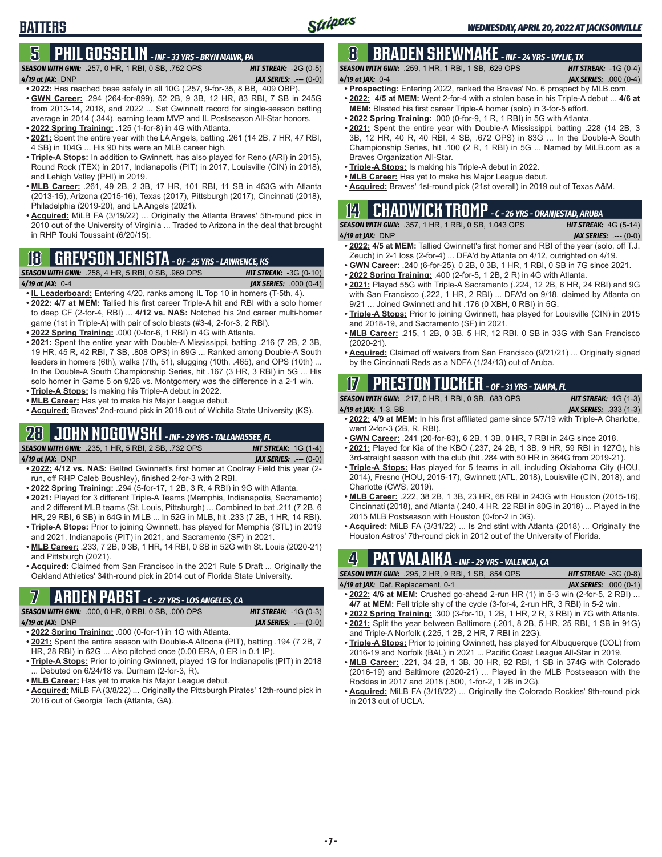# **5 PHIL GOSSELIN** *- INF - 33 YRS - BRYN MAWR, PA*

*SEASON WITH GWN:*.257, 0 HR, 1 RBI, 0 SB, .752 OPS *HIT STREAK:* -2G (0-5) *4/19 at JAX:*DNP *JAX SERIES:* .--- (0-0)

#### **• 2022:** Has reached base safely in all 10G (.257, 9-for-35, 8 BB, .409 OBP).

- **• GWN Career:** .294 (264-for-899), 52 2B, 9 3B, 12 HR, 83 RBI, 7 SB in 245G from 2013-14, 2018, and 2022 ... Set Gwinnett record for single-season batting average in 2014 (.344), earning team MVP and IL Postseason All-Star honors. **• 2022 Spring Training:** .125 (1-for-8) in 4G with Atlanta.
- **• 2021:** Spent the entire year with the LA Angels, batting .261 (14 2B, 7 HR, 47 RBI, 4 SB) in 104G ... His 90 hits were an MLB career high.
- **• Triple-A Stops:** In addition to Gwinnett, has also played for Reno (ARI) in 2015), Round Rock (TEX) in 2017, Indianapolis (PIT) in 2017, Louisville (CIN) in 2018), and Lehigh Valley (PHI) in 2019.
- **• MLB Career:** .261, 49 2B, 2 3B, 17 HR, 101 RBI, 11 SB in 463G with Atlanta (2013-15), Arizona (2015-16), Texas (2017), Pittsburgh (2017), Cincinnati (2018), Philadelphia (2019-20), and LA Angels (2021).
- **• Acquired:** MiLB FA (3/19/22) ... Originally the Atlanta Braves' 5th-round pick in 2010 out of the University of Virginia ... Traded to Arizona in the deal that brought in RHP Touki Toussaint (6/20/15).

### **18 GREYSON JENISTA** *- OF - 25 YRS - LAWRENCE, KS*

*SEASON WITH GWN:*.258, 4 HR, 5 RBI, 0 SB, .969 OPS *HIT STREAK:* -3G (0-10)

**BATTERS**

*4/19 at JAX:*0-4 *JAX SERIES:* .000 (0-4)

- **• IL Leaderboard:** Entering 4/20, ranks among IL Top 10 in homers (T-5th, 4). **• 2022: 4/7 at MEM:** Tallied his first career Triple-A hit and RBI with a solo homer to deep CF (2-for-4, RBI) ... **4/12 vs. NAS:** Notched his 2nd career multi-homer game (1st in Triple-A) with pair of solo blasts (#3-4, 2-for-3, 2 RBI).
- **• 2022 Spring Training:** .000 (0-for-6, 1 RBI) in 4G with Atlanta.
- **• 2021:** Spent the entire year with Double-A Mississippi, batting .216 (7 2B, 2 3B, 19 HR, 45 R, 42 RBI, 7 SB, .808 OPS) in 89G ... Ranked among Double-A South leaders in homers (6th), walks (7th, 51), slugging (10th, .465), and OPS (10th) ... In the Double-A South Championship Series, hit .167 (3 HR, 3 RBI) in 5G ... His solo homer in Game 5 on 9/26 vs. Montgomery was the difference in a 2-1 win.
- **• Triple-A Stops:** Is making his Triple-A debut in 2022.
- **• MLB Career:** Has yet to make his Major League debut.
- **• Acquired:** Braves' 2nd-round pick in 2018 out of Wichita State University (KS).

### **28 JOHN NOGOWSKI** *- INF - 29 YRS - TALLAHASSEE, FL*

*SEASON WITH GWN:*.235, 1 HR, 5 RBI, 2 SB, .732 OPS *HIT STREAK:* 1G (1-4) *4/19 at JAX:*DNP *JAX SERIES:* .--- (0-0)

- **• 2022: 4/12 vs. NAS:** Belted Gwinnett's first homer at Coolray Field this year (2 run, off RHP Caleb Boushley), finished 2-for-3 with 2 RBI.
- **• 2022 Spring Training:** .294 (5-for-17, 1 2B, 3 R, 4 RBI) in 9G with Atlanta.
- **• 2021:** Played for 3 different Triple-A Teams (Memphis, Indianapolis, Sacramento) and 2 different MLB teams (St. Louis, Pittsburgh) ... Combined to bat .211 (7 2B, 6 HR, 29 RBI, 6 SB) in 64G in MiLB ... In 52G in MLB, hit .233 (7 2B, 1 HR, 14 RBI).
- **• Triple-A Stops:** Prior to joining Gwinnett, has played for Memphis (STL) in 2019 and 2021, Indianapolis (PIT) in 2021, and Sacramento (SF) in 2021.
- **• MLB Career:** .233, 7 2B, 0 3B, 1 HR, 14 RBI, 0 SB in 52G with St. Louis (2020-21) and Pittsburgh (2021).
- **• Acquired:** Claimed from San Francisco in the 2021 Rule 5 Draft ... Originally the Oakland Athletics' 34th-round pick in 2014 out of Florida State University.

# **7 ARDEN PABST** *- C - 27 YRS - LOS ANGELES, CA*

*SEASON WITH GWN:*.000, 0 HR, 0 RBI, 0 SB, .000 OPS *HIT STREAK:* -1G (0-3)

#### *4/19 at JAX:*DNP *JAX SERIES:* .--- (0-0)

- **• 2022 Spring Training:** .000 (0-for-1) in 1G with Atlanta. **• 2021:** Spent the entire season with Double-A Altoona (PIT), batting .194 (7 2B, 7 HR, 28 RBI) in 62G ... Also pitched once (0.00 ERA, 0 ER in 0.1 IP).
- **• Triple-A Stops:** Prior to joining Gwinnett, played 1G for Indianapolis (PIT) in 2018 ... Debuted on 6/24/18 vs. Durham (2-for-3, R).
- **• MLB Career:** Has yet to make his Major League debut.
- **• Acquired:** MiLB FA (3/8/22) ... Originally the Pittsburgh Pirates' 12th-round pick in 2016 out of Georgia Tech (Atlanta, GA).

### **8 BRADEN SHEWMAKE** *- INF - 24 YRS - WYLIE, TX*

*SEASON WITH GWN:*.259, 1 HR, 1 RBI, 1 SB, .629 OPS *HIT STREAK:* -1G (0-4)

- *4/19 at JAX:*0-4 *JAX SERIES:* .000 (0-4) **• Prospecting:** Entering 2022, ranked the Braves' No. 6 prospect by MLB.com.
- **• 2022: 4/5 at MEM:** Went 2-for-4 with a stolen base in his Triple-A debut ... **4/6 at MEM:** Blasted his first career Triple-A homer (solo) in 3-for-5 effort.
- **• 2022 Spring Training:** .000 (0-for-9, 1 R, 1 RBI) in 5G with Atlanta.
- **• 2021:** Spent the entire year with Double-A Mississippi, batting .228 (14 2B, 3 3B, 12 HR, 40 R, 40 RBI, 4 SB, .672 OPS) in 83G ... In the Double-A South Championship Series, hit .100 (2 R, 1 RBI) in 5G ... Named by MiLB.com as a Braves Organization All-Star.
- **• Triple-A Stops:** Is making his Triple-A debut in 2022.
- **• MLB Career:** Has yet to make his Major League debut.
- **• Acquired:** Braves' 1st-round pick (21st overall) in 2019 out of Texas A&M.

# **14 CHADWICK TROMP** *- C - 26 YRS - ORANJESTAD, ARUBA*

*SEASON WITH GWN:*.357, 1 HR, 1 RBI, 0 SB, 1.043 OPS *HIT STREAK:* 4G (5-14) *4/19 at JAX:*DNP *JAX SERIES:* .--- (0-0)

- **• 2022: 4/5 at MEM:** Tallied Gwinnett's first homer and RBI of the year (solo, off T.J. Zeuch) in 2-1 loss (2-for-4) ... DFA'd by Atlanta on 4/12, outrighted on 4/19.
- **• GWN Career:** .240 (6-for-25), 0 2B, 0 3B, 1 HR, 1 RBI, 0 SB in 7G since 2021.
- **• 2022 Spring Training:** .400 (2-for-5, 1 2B, 2 R) in 4G with Atlanta. **• 2021:** Played 55G with Triple-A Sacramento (.224, 12 2B, 6 HR, 24 RBI) and 9G with San Francisco (.222, 1 HR, 2 RBI) ... DFA'd on 9/18, claimed by Atlanta on 9/21 ... Joined Gwinnett and hit .176 (0 XBH, 0 RBI) in 5G.
- **• Triple-A Stops:** Prior to joining Gwinnett, has played for Louisville (CIN) in 2015 and 2018-19, and Sacramento (SF) in 2021.
- **• MLB Career:** .215, 1 2B, 0 3B, 5 HR, 12 RBI, 0 SB in 33G with San Francisco (2020-21).
- **• Acquired:** Claimed off waivers from San Francisco (9/21/21) ... Originally signed by the Cincinnati Reds as a NDFA (1/24/13) out of Aruba.

### **17 PRESTON TUCKER** *- OF - 31 YRS - TAMPA, FL*

| <b>SEASON WITH GWN:</b> .217, 0 HR, 1 RBI, 0 SB, .683 OPS | <b>HIT STREAK:</b> $1G(1-3)$ |
|-----------------------------------------------------------|------------------------------|
|                                                           |                              |

- *4/19 at JAX:*1-3, BB *JAX SERIES:* .333 (1-3) **• 2022: 4/9 at MEM:** In his first affiliated game since 5/7/19 with Triple-A Charlotte, went 2-for-3 (2B, R, RBI).
- **• GWN Career:** .241 (20-for-83), 6 2B, 1 3B, 0 HR, 7 RBI in 24G since 2018.
- **• 2021:** Played for Kia of the KBO (.237, 24 2B, 1 3B, 9 HR, 59 RBI in 127G), his 3rd-straight season with the club (hit .284 with 50 HR in 364G from 2019-21).
- **• Triple-A Stops:** Has played for 5 teams in all, including Oklahoma City (HOU, 2014), Fresno (HOU, 2015-17), Gwinnett (ATL, 2018), Louisville (CIN, 2018), and Charlotte (CWS, 2019).
- **• MLB Career:** .222, 38 2B, 1 3B, 23 HR, 68 RBI in 243G with Houston (2015-16), Cincinnati (2018), and Atlanta (.240, 4 HR, 22 RBI in 80G in 2018) ... Played in the 2015 MLB Postseason with Houston (0-for-2 in 3G).
- **• Acquired:** MiLB FA (3/31/22) ... Is 2nd stint with Atlanta (2018) ... Originally the Houston Astros' 7th-round pick in 2012 out of the University of Florida.

# **4 PAT VALAIKA** *- INF - 29 YRS - VALENCIA, CA*

| <b>SEASON WITH GWN: .295, 2 HR, 9 RBI, 1 SB, .854 OPS</b>                      | <b>HIT STREAK:</b> $-3G(0-8)$  |
|--------------------------------------------------------------------------------|--------------------------------|
| 4/19 at JAX: Def. Replacement, 0-1                                             | <b>JAX SERIES:</b> $.000(0-1)$ |
| <b>COOL 410 -4 MEM.</b> Omit also - be a domed ID (4) to E Omit 10 feet O DDIV |                                |

- **• 2022: 4/6 at MEM:** Crushed go-ahead 2-run HR (1) in 5-3 win (2-for-5, 2 RBI) ... **4/7 at MEM:** Fell triple shy of the cycle (3-for-4, 2-run HR, 3 RBI) in 5-2 win.
- **• 2022 Spring Training:** .300 (3-for-10, 1 2B, 1 HR, 2 R, 3 RBI) in 7G with Atlanta. **• 2021:** Split the year between Baltimore (.201, 8 2B, 5 HR, 25 RBI, 1 SB in 91G) and Triple-A Norfolk (.225, 1 2B, 2 HR, 7 RBI in 22G).
- **• Triple-A Stops:** Prior to joining Gwinnett, has played for Albuquerque (COL) from 2016-19 and Norfolk (BAL) in 2021 ... Pacific Coast League All-Star in 2019.
- **• MLB Career:** .221, 34 2B, 1 3B, 30 HR, 92 RBI, 1 SB in 374G with Colorado (2016-19) and Baltimore (2020-21) ... Played in the MLB Postseason with the Rockies in 2017 and 2018 (.500, 1-for-2, 1 2B in 2G).
- **• Acquired:** MiLB FA (3/18/22) ... Originally the Colorado Rockies' 9th-round pick in 2013 out of UCLA.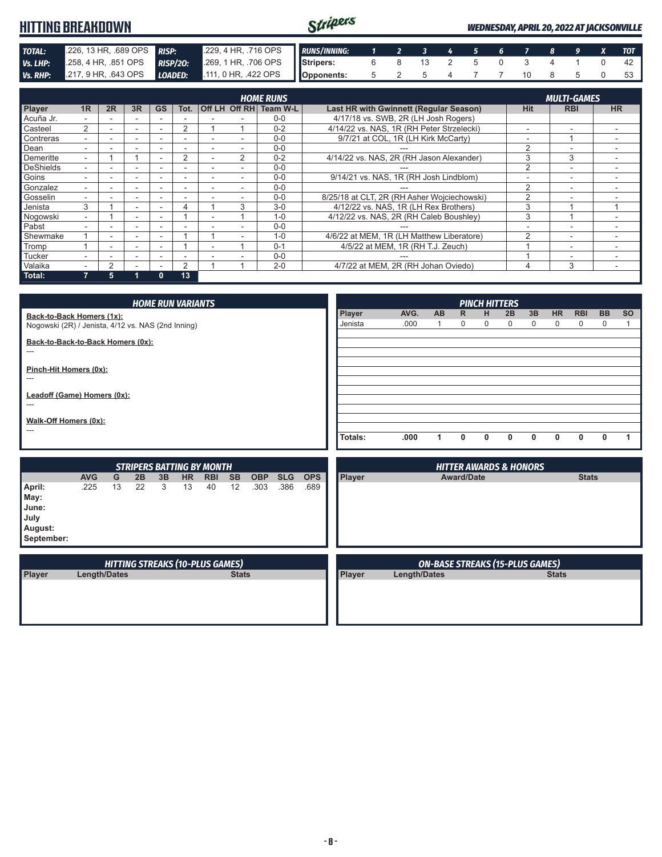#### Stripers **HITTING BREAKDOWN** *WEDNESDAY, APRIL 20, 2022 AT JACKSONVILLE* **TOTAL:** .226, 13 HR, .689 OPS **RISP:** .229, 4 HR, .716 OPS **Vs. LHP:** .258, 4 HR, .851 OPS **RISP/20:** .269, 1 HR, .706 OPS *RUNS/INNING: 1 2 3 4 5 6 7 8 9 X TOT RISP/20:* .258, 4 HR, .851 OPS **RISP/20: Stripers:** 6 8 13 2 5 0 3 4 1 0 42 *Vs. RHP:* .217, 9 HR, .643 OPS *LOADED:* .111, 0 HR, .422 OPS **Opponents:** 5 2 5 4 7 7 10 8 5 0 53

| <b>HOME RUNS</b> |    |        |    |           |      |                          |               |                        |                                             | <b>MULTI-GAMES</b>       |                          |           |
|------------------|----|--------|----|-----------|------|--------------------------|---------------|------------------------|---------------------------------------------|--------------------------|--------------------------|-----------|
| Player           | 1R | 2R     | 3R | <b>GS</b> | Tot. |                          |               | Off LH Off RH Team W-L | Last HR with Gwinnett (Regular Season)      | <b>Hit</b>               | <b>RBI</b>               | <b>HR</b> |
| Acuña Jr.        |    |        |    |           |      |                          |               | $0 - 0$                | 4/17/18 vs. SWB, 2R (LH Josh Rogers)        |                          |                          |           |
| Casteel          | 2  |        | ۰  |           | 2    |                          |               | $0 - 2$                | 4/14/22 vs. NAS, 1R (RH Peter Strzelecki)   | $\overline{\phantom{a}}$ |                          |           |
| Contreras        |    | ۰.     | ۰  | ۰         |      |                          |               | $0 - 0$                | 9/7/21 at COL, 1R (LH Kirk McCarty)         | $\overline{\phantom{a}}$ |                          |           |
| Dean             |    |        |    |           |      |                          |               | $0 - 0$                |                                             | 2                        |                          |           |
| Demeritte        |    |        |    |           | 2    |                          | $\mathcal{P}$ | $0 - 2$                | 4/14/22 vs. NAS, 2R (RH Jason Alexander)    | 3                        | 3                        |           |
| <b>DeShields</b> |    |        |    |           |      |                          |               | $0 - 0$                |                                             | 2                        | $\overline{\phantom{a}}$ |           |
| Goins            |    |        | -  |           |      |                          |               | $0 - 0$                | 9/14/21 vs. NAS, 1R (RH Josh Lindblom)      |                          | $\overline{\phantom{a}}$ |           |
| Gonzalez         |    |        |    |           |      |                          |               | $0 - 0$                |                                             | 2                        | $\overline{\phantom{a}}$ |           |
| Gosselin         |    |        | -  |           |      |                          |               | $0 - 0$                | 8/25/18 at CLT, 2R (RH Asher Wojciechowski) | っ                        | $\overline{\phantom{a}}$ |           |
| Jenista          | 3  |        | ۰. |           | 4    |                          | 3             | $3 - 0$                | 4/12/22 vs. NAS. 1R (LH Rex Brothers)       | 3                        |                          |           |
| Nogowski         | ۰. |        | ۰. | ۰         |      | $\overline{\phantom{a}}$ |               | $1 - 0$                | 4/12/22 vs. NAS, 2R (RH Caleb Boushley)     | 3                        |                          |           |
| Pabst            |    |        | -  |           |      |                          |               | $0 - 0$                |                                             | ٠                        | $\overline{\phantom{a}}$ |           |
| Shewmake         |    |        | ۰. |           |      |                          |               | $1 - 0$                | 4/6/22 at MEM, 1R (LH Matthew Liberatore)   | 2                        |                          |           |
| Tromp            |    | ۰.     | ۰  |           |      |                          |               | $0 - 1$                | 4/5/22 at MEM, 1R (RH T.J. Zeuch)           |                          | $\overline{\phantom{a}}$ |           |
| Tucker           |    |        |    |           |      |                          |               | $0 - 0$                |                                             |                          |                          |           |
| Valaika          |    | $\sim$ |    |           | C    |                          |               | $2 - 0$                | 4/7/22 at MEM, 2R (RH Johan Oviedo)         | 4                        | 3                        |           |
| Total:           |    | 5      |    | $\bf{0}$  | 13   |                          |               |                        |                                             |                          |                          |           |

|                                                    |                     |                                        |                                  |    | <b>HOME RUN VARIANTS</b> |            |              |            |            |            |         |                     |                                        |                   | <b>PINCH HITTERS</b> |                                   |    |              |              |           |           |
|----------------------------------------------------|---------------------|----------------------------------------|----------------------------------|----|--------------------------|------------|--------------|------------|------------|------------|---------|---------------------|----------------------------------------|-------------------|----------------------|-----------------------------------|----|--------------|--------------|-----------|-----------|
| Back-to-Back Homers (1x):                          |                     |                                        |                                  |    |                          |            |              |            |            |            | Player  | AVG.                | <b>AB</b>                              | $\mathsf{R}$      | н                    | 2B                                | 3B | <b>HR</b>    | <b>RBI</b>   | <b>BB</b> | <b>SO</b> |
| Nogowski (2R) / Jenista, 4/12 vs. NAS (2nd Inning) |                     |                                        |                                  |    |                          |            |              |            |            |            | Jenista | .000                | 1                                      | 0                 | 0                    | 0                                 | 0  | 0            | 0            | 0         |           |
| Back-to-Back-to-Back Homers (0x):                  |                     |                                        |                                  |    |                          |            |              |            |            |            |         |                     |                                        |                   |                      |                                   |    |              |              |           |           |
| ---                                                |                     |                                        |                                  |    |                          |            |              |            |            |            |         |                     |                                        |                   |                      |                                   |    |              |              |           |           |
| Pinch-Hit Homers (0x):                             |                     |                                        |                                  |    |                          |            |              |            |            |            |         |                     |                                        |                   |                      |                                   |    |              |              |           |           |
| ---                                                |                     |                                        |                                  |    |                          |            |              |            |            |            |         |                     |                                        |                   |                      |                                   |    |              |              |           |           |
| Leadoff (Game) Homers (0x):                        |                     |                                        |                                  |    |                          |            |              |            |            |            |         |                     |                                        |                   |                      |                                   |    |              |              |           |           |
| ---                                                |                     |                                        |                                  |    |                          |            |              |            |            |            |         |                     |                                        |                   |                      |                                   |    |              |              |           |           |
| Walk-Off Homers (0x):                              |                     |                                        |                                  |    |                          |            |              |            |            |            |         |                     |                                        |                   |                      |                                   |    |              |              |           |           |
| ---                                                |                     |                                        |                                  |    |                          |            |              |            |            |            |         |                     |                                        |                   |                      |                                   |    |              |              |           |           |
|                                                    |                     |                                        |                                  |    |                          |            |              |            |            |            | Totals: | .000                | 1                                      | 0                 | 0                    | 0                                 | 0  | 0            | 0            | 0         | 1         |
|                                                    |                     |                                        |                                  |    |                          |            |              |            |            |            |         |                     |                                        |                   |                      |                                   |    |              |              |           |           |
|                                                    |                     |                                        |                                  |    |                          |            |              |            |            |            |         |                     |                                        |                   |                      |                                   |    |              |              |           |           |
|                                                    |                     |                                        | <b>STRIPERS BATTING BY MONTH</b> |    |                          |            |              |            |            |            |         |                     |                                        |                   |                      | <b>HITTER AWARDS &amp; HONORS</b> |    |              |              |           |           |
|                                                    | <b>AVG</b>          | G                                      | 2B                               | 3B | <b>HR</b>                | <b>RBI</b> | <b>SB</b>    | <b>OBP</b> | <b>SLG</b> | <b>OPS</b> | Player  |                     |                                        | <b>Award/Date</b> |                      |                                   |    |              | <b>Stats</b> |           |           |
| April:                                             | .225                | 13                                     | 22                               | 3  | 13                       | 40         | 12           | .303       | .386       | .689       |         |                     |                                        |                   |                      |                                   |    |              |              |           |           |
| May:                                               |                     |                                        |                                  |    |                          |            |              |            |            |            |         |                     |                                        |                   |                      |                                   |    |              |              |           |           |
| June:                                              |                     |                                        |                                  |    |                          |            |              |            |            |            |         |                     |                                        |                   |                      |                                   |    |              |              |           |           |
| July<br>August:                                    |                     |                                        |                                  |    |                          |            |              |            |            |            |         |                     |                                        |                   |                      |                                   |    |              |              |           |           |
| September:                                         |                     |                                        |                                  |    |                          |            |              |            |            |            |         |                     |                                        |                   |                      |                                   |    |              |              |           |           |
|                                                    |                     |                                        |                                  |    |                          |            |              |            |            |            |         |                     |                                        |                   |                      |                                   |    |              |              |           |           |
|                                                    |                     | <b>HITTING STREAKS (10-PLUS GAMES)</b> |                                  |    |                          |            |              |            |            |            |         |                     | <b>ON-BASE STREAKS (15-PLUS GAMES)</b> |                   |                      |                                   |    |              |              |           |           |
|                                                    | <b>Length/Dates</b> |                                        |                                  |    |                          |            | <b>Stats</b> |            |            |            | Player  | <b>Length/Dates</b> |                                        |                   |                      |                                   |    | <b>Stats</b> |              |           |           |
| Player                                             |                     |                                        |                                  |    |                          |            |              |            |            |            |         |                     |                                        |                   |                      |                                   |    |              |              |           |           |
|                                                    |                     |                                        |                                  |    |                          |            |              |            |            |            |         |                     |                                        |                   |                      |                                   |    |              |              |           |           |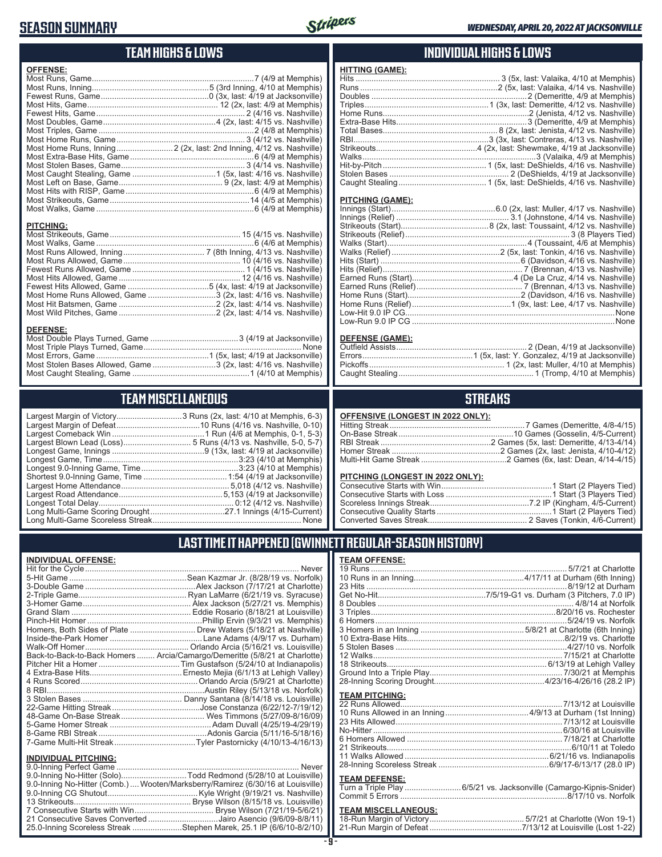### **SEASON SUMMARY**



### **TEAM HIGHS & LOWS**

| <b>OFFENSE:</b>  |  |
|------------------|--|
|                  |  |
|                  |  |
|                  |  |
|                  |  |
|                  |  |
|                  |  |
|                  |  |
|                  |  |
|                  |  |
|                  |  |
|                  |  |
|                  |  |
|                  |  |
|                  |  |
|                  |  |
|                  |  |
|                  |  |
| <b>PITCHING:</b> |  |
|                  |  |

Most Walks, Game ......................................................................6 (4/6 at Memphis) Most Runs Allowed, Inning .................................... 7 (8th Inning, 4/13 vs. Nashville) Most Runs Allowed, Game .................................................... 10 (4/16 vs. Nashville) Fewest Runs Allowed, Game .................................................. 1 (4/15 vs. Nashville) Most Hits Allowed, Game ...................................................... 12 (4/16 vs. Nashville) Fewest Hits Allowed, Game ....................................5 (4x, last: 4/19 at Jacksonville) Most Home Runs Allowed, Game ..............................3 (2x, last: 4/16 vs. Nashville) Most Hit Batsmen, Game ...........................................2 (2x, last: 4/14 vs. Nashville) Most Wild Pitches, Game ...........................................2 (2x, last: 4/14 vs. Nashville)

Most Double Plays Turned, Game .......................................3 (4/19 at Jacksonville) Most Triple Plays Turned, Game ...................................................................... None Most Errors, Game ..................................................1 (5x, last; 4/19 at Jacksonville) Most Stolen Bases Allowed, Game ............................3 (2x, last: 4/16 vs. Nashville) Most Caught Stealing, Game ....................................................1 (4/10 at Memphis)

### **INDIVIDUAL HIGHS & LOWS**

| <b>HITTING (GAME):</b> |  |
|------------------------|--|
|                        |  |
|                        |  |
|                        |  |
|                        |  |
|                        |  |
|                        |  |
|                        |  |
|                        |  |
|                        |  |
|                        |  |
|                        |  |
|                        |  |
|                        |  |

#### **PITCHING (GAME):**

#### **DEFENSE (GAME):**

### **STREAKS**

|  |  | OFFENSIVE (LONGEST IN 2022 ONLY): |
|--|--|-----------------------------------|
|--|--|-----------------------------------|

#### **PITCHING (LONGEST IN 2022 ONLY):**

### **LAST TIME IT HAPPENED (GWINNETT REGULAR-SEASON HISTORY)**

#### **TEAM OFFENSE:**

| <u>. LAM VI LENVE.</u> |  |
|------------------------|--|
|                        |  |
|                        |  |
|                        |  |
|                        |  |
|                        |  |
|                        |  |
|                        |  |
|                        |  |
|                        |  |
|                        |  |
|                        |  |
|                        |  |
|                        |  |
|                        |  |
| <b>TEAM PITCHING:</b>  |  |
|                        |  |
|                        |  |
|                        |  |
|                        |  |
|                        |  |
|                        |  |
|                        |  |
|                        |  |
| <b>TEAM DEFENSE:</b>   |  |
|                        |  |

#### **TEAM DEFENSE:** Turn a Triple Play .........................6/5/21 vs. Jacksonville (Camargo-Kipnis-Snider) Commit 5 Errors ..........................................................................8/17/10 vs. Norfolk

### **TEAM MISCELLANEOUS:**

| 21-Run Margin of Defeat…………………………………7/13/12 at Louisville (Lost 1-22) |
|-----------------------------------------------------------------------|

**TEAM MISCELLANEOUS**

| Long Multi-Game Scoreless Streak | <b>None</b> |
|----------------------------------|-------------|

**DEFENSE:**

Largest Margin of Victory.............................3 Runs (2x, last: 4/10 at Memphis, 6-3) Largest Comeback Win .........................................1 Run (4/6 at Memphis, 0-1, 5-3) ................... 5 Runs (4/13 vs. Nashville, 5-0, 5-7) Longest Game, Innings .........................................9 (13x, last: 4/19 at Jacksonville) Longest Game, Time ............................................................3:23 (4/10 at Memphis) Largest Home Attendance ................................................ 5,018 (4/12 vs. Nashville) Largest Road Attendance ..............................................5,153 (4/19 at Jacksonville) Longest Total Delay............................................................ 0:12 (4/12 vs. Nashville) Long Multi-Game Scoring Drought .................................27.1 Innings (4/15-Current) Long Multi-Game Scoreless Streak .................................................................. None

#### **INDIVIDUAL OFFENSE:**

| Homers, Both Sides of Plate  Drew Waters (5/18/21 at Nashville)            |
|----------------------------------------------------------------------------|
|                                                                            |
|                                                                            |
| Back-to-Back-to-Back Homers  Arcia/Camargo/Demeritte (5/8/21 at Charlotte) |
|                                                                            |
|                                                                            |
|                                                                            |
|                                                                            |
|                                                                            |
|                                                                            |
|                                                                            |
|                                                                            |
|                                                                            |
|                                                                            |
|                                                                            |

#### **INDIVIDUAL PITCHING:**

| 9.0-Inning No-Hitter (Solo)Todd Redmond (5/28/10 at Louisville)                |
|--------------------------------------------------------------------------------|
| 9.0-Inning No-Hitter (Comb.) Wooten/Marksberry/Ramirez (6/30/16 at Louisville) |
|                                                                                |
|                                                                                |
|                                                                                |
| 21 Consecutive Saves Converted Jairo Asencio (9/6/09-8/8/11)                   |
| 25.0-Inning Scoreless Streak Stephen Marek, 25.1 IP (6/6/10-8/2/10)            |